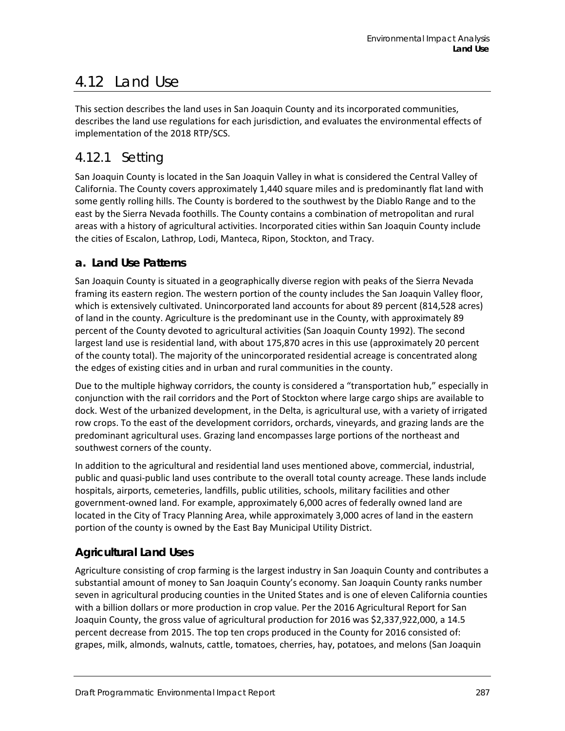# 4.12 Land Use

This section describes the land uses in San Joaquin County and its incorporated communities, describes the land use regulations for each jurisdiction, and evaluates the environmental effects of implementation of the 2018 RTP/SCS.

## 4.12.1 Setting

San Joaquin County is located in the San Joaquin Valley in what is considered the Central Valley of California. The County covers approximately 1,440 square miles and is predominantly flat land with some gently rolling hills. The County is bordered to the southwest by the Diablo Range and to the east by the Sierra Nevada foothills. The County contains a combination of metropolitan and rural areas with a history of agricultural activities. Incorporated cities within San Joaquin County include the cities of Escalon, Lathrop, Lodi, Manteca, Ripon, Stockton, and Tracy.

## **a. Land Use Patterns**

San Joaquin County is situated in a geographically diverse region with peaks of the Sierra Nevada framing its eastern region. The western portion of the county includes the San Joaquin Valley floor, which is extensively cultivated. Unincorporated land accounts for about 89 percent (814,528 acres) of land in the county. Agriculture is the predominant use in the County, with approximately 89 percent of the County devoted to agricultural activities (San Joaquin County 1992). The second largest land use is residential land, with about 175,870 acres in this use (approximately 20 percent of the county total). The majority of the unincorporated residential acreage is concentrated along the edges of existing cities and in urban and rural communities in the county.

Due to the multiple highway corridors, the county is considered a "transportation hub," especially in conjunction with the rail corridors and the Port of Stockton where large cargo ships are available to dock. West of the urbanized development, in the Delta, is agricultural use, with a variety of irrigated row crops. To the east of the development corridors, orchards, vineyards, and grazing lands are the predominant agricultural uses. Grazing land encompasses large portions of the northeast and southwest corners of the county.

In addition to the agricultural and residential land uses mentioned above, commercial, industrial, public and quasi-public land uses contribute to the overall total county acreage. These lands include hospitals, airports, cemeteries, landfills, public utilities, schools, military facilities and other government-owned land. For example, approximately 6,000 acres of federally owned land are located in the City of Tracy Planning Area, while approximately 3,000 acres of land in the eastern portion of the county is owned by the East Bay Municipal Utility District.

## **Agricultural Land Uses**

Agriculture consisting of crop farming is the largest industry in San Joaquin County and contributes a substantial amount of money to San Joaquin County's economy. San Joaquin County ranks number seven in agricultural producing counties in the United States and is one of eleven California counties with a billion dollars or more production in crop value. Per the 2016 Agricultural Report for San Joaquin County, the gross value of agricultural production for 2016 was \$2,337,922,000, a 14.5 percent decrease from 2015. The top ten crops produced in the County for 2016 consisted of: grapes, milk, almonds, walnuts, cattle, tomatoes, cherries, hay, potatoes, and melons (San Joaquin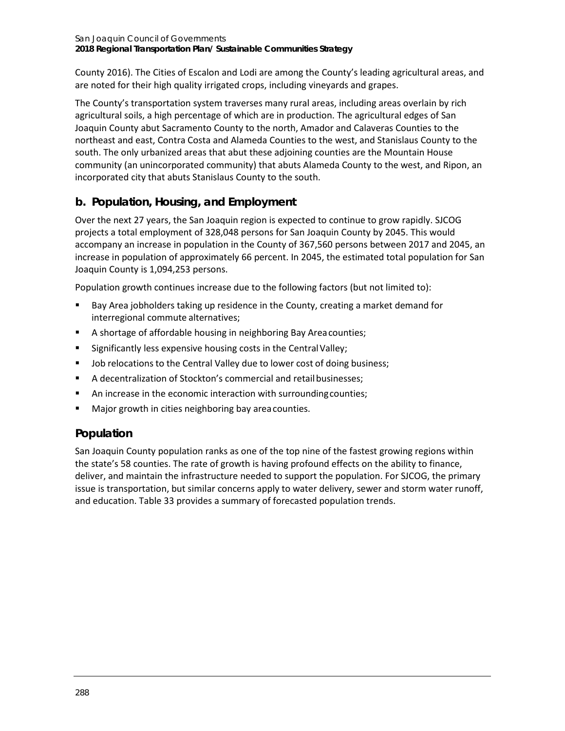County 2016). The Cities of Escalon and Lodi are among the County's leading agricultural areas, and are noted for their high quality irrigated crops, including vineyards and grapes.

The County's transportation system traverses many rural areas, including areas overlain by rich agricultural soils, a high percentage of which are in production. The agricultural edges of San Joaquin County abut Sacramento County to the north, Amador and Calaveras Counties to the northeast and east, Contra Costa and Alameda Counties to the west, and Stanislaus County to the south. The only urbanized areas that abut these adjoining counties are the Mountain House community (an unincorporated community) that abuts Alameda County to the west, and Ripon, an incorporated city that abuts Stanislaus County to the south.

## **b. Population, Housing, and Employment**

Over the next 27 years, the San Joaquin region is expected to continue to grow rapidly. SJCOG projects a total employment of 328,048 persons for San Joaquin County by 2045. This would accompany an increase in population in the County of 367,560 persons between 2017 and 2045, an increase in population of approximately 66 percent. In 2045, the estimated total population for San Joaquin County is 1,094,253 persons.

Population growth continues increase due to the following factors (but not limited to):

- Bay Area jobholders taking up residence in the County, creating a market demand for interregional commute alternatives;
- A shortage of affordable housing in neighboring Bay Areacounties;
- Significantly less expensive housing costs in the Central Valley;
- Job relocations to the Central Valley due to lower cost of doing business;
- A decentralization of Stockton's commercial and retailbusinesses;
- An increase in the economic interaction with surrounding counties;
- Major growth in cities neighboring bay areacounties.

## **Population**

San Joaquin County population ranks as one of the top nine of the fastest growing regions within the state's 58 counties. The rate of growth is having profound effects on the ability to finance, deliver, and maintain the infrastructure needed to support the population. For SJCOG, the primary issue is transportation, but similar concerns apply to water delivery, sewer and storm water runoff, and education[. Table 33](#page-2-0) provides a summary of forecasted population trends.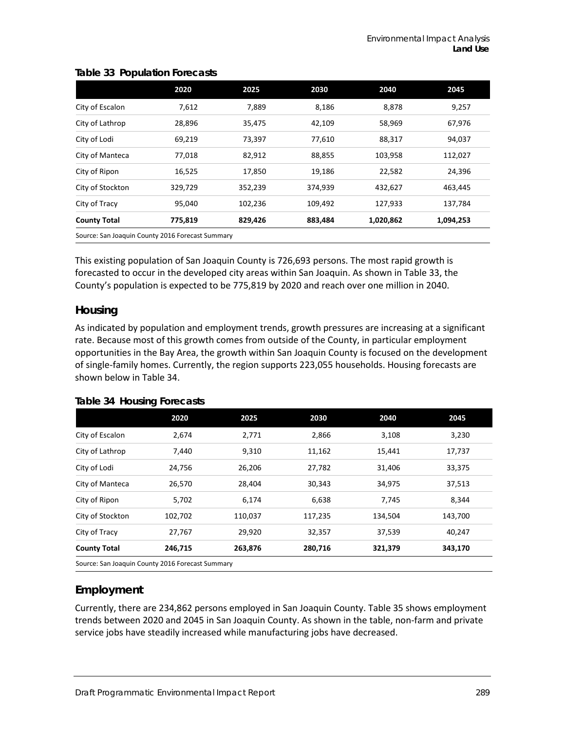|                                                  | 2020    | 2025    | 2030    | 2040      | 2045      |
|--------------------------------------------------|---------|---------|---------|-----------|-----------|
| City of Escalon                                  | 7,612   | 7,889   | 8,186   | 8,878     | 9,257     |
| City of Lathrop                                  | 28,896  | 35,475  | 42,109  | 58,969    | 67,976    |
| City of Lodi                                     | 69,219  | 73,397  | 77,610  | 88,317    | 94,037    |
| City of Manteca                                  | 77,018  | 82,912  | 88,855  | 103,958   | 112,027   |
| City of Ripon                                    | 16,525  | 17,850  | 19,186  | 22,582    | 24,396    |
| City of Stockton                                 | 329,729 | 352,239 | 374,939 | 432,627   | 463,445   |
| City of Tracy                                    | 95,040  | 102,236 | 109,492 | 127,933   | 137,784   |
| <b>County Total</b>                              | 775,819 | 829,426 | 883,484 | 1,020,862 | 1,094,253 |
| Source: San Joaquin County 2016 Forecast Summary |         |         |         |           |           |

#### <span id="page-2-0"></span>**Table 33 Population Forecasts**

This existing population of San Joaquin County is 726,693 persons. The most rapid growth is forecasted to occur in the developed city areas within San Joaquin. As shown in [Table 33,](#page-2-0) the County's population is expected to be 775,819 by 2020 and reach over one million in 2040.

### **Housing**

As indicated by population and employment trends, growth pressures are increasing at a significant rate. Because most of this growth comes from outside of the County, in particular employment opportunities in the Bay Area, the growth within San Joaquin County is focused on the development of single-family homes. Currently, the region supports 223,055 households. Housing forecasts are shown below in [Table 34.](#page-2-1)

<span id="page-2-1"></span>

|  | <b>Table 34 Housing Forecasts</b> |  |
|--|-----------------------------------|--|
|--|-----------------------------------|--|

|                     | 2020                                             | 2025    | 2030    | 2040    | 2045    |  |
|---------------------|--------------------------------------------------|---------|---------|---------|---------|--|
| City of Escalon     | 2,674                                            | 2,771   | 2,866   | 3,108   | 3,230   |  |
| City of Lathrop     | 7,440                                            | 9,310   | 11,162  | 15,441  | 17,737  |  |
| City of Lodi        | 24,756                                           | 26,206  | 27,782  | 31,406  | 33,375  |  |
| City of Manteca     | 26,570                                           | 28,404  | 30,343  | 34,975  | 37,513  |  |
| City of Ripon       | 5,702                                            | 6,174   | 6,638   | 7,745   | 8,344   |  |
| City of Stockton    | 102,702                                          | 110,037 | 117,235 | 134,504 | 143,700 |  |
| City of Tracy       | 27,767                                           | 29,920  | 32,357  | 37,539  | 40,247  |  |
| <b>County Total</b> | 246,715                                          | 263,876 | 280,716 | 321,379 | 343,170 |  |
|                     | Course: San Joaquin County 2016 Foresast Summary |         |         |         |         |  |

Source: San Joaquin County 2016 Forecast Summary

## **Employment**

Currently, there are 234,862 persons employed in San Joaquin County. [Table 35](#page-3-0) shows employment trends between 2020 and 2045 in San Joaquin County. As shown in the table, non-farm and private service jobs have steadily increased while manufacturing jobs have decreased.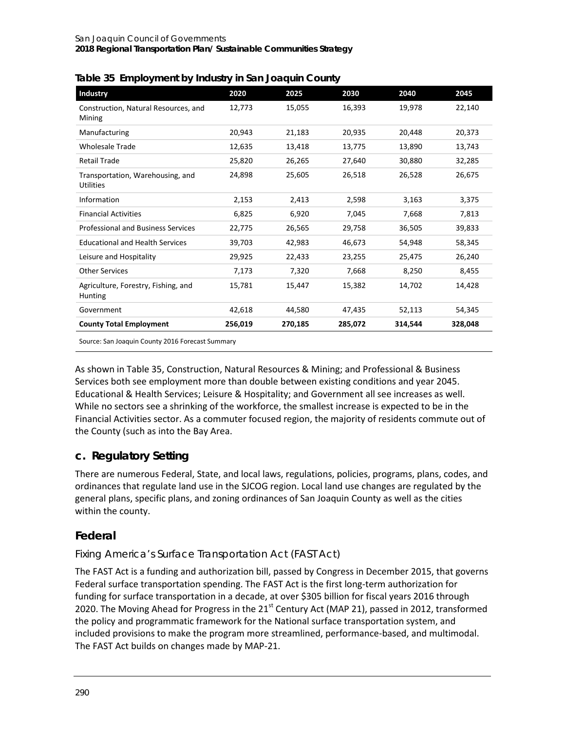| <b>Industry</b>                                       | 2020    | 2025    | 2030    | 2040    | 2045    |
|-------------------------------------------------------|---------|---------|---------|---------|---------|
| Construction, Natural Resources, and<br>Mining        | 12,773  | 15,055  | 16,393  | 19,978  | 22,140  |
| Manufacturing                                         | 20,943  | 21,183  | 20,935  | 20,448  | 20,373  |
| <b>Wholesale Trade</b>                                | 12,635  | 13,418  | 13,775  | 13,890  | 13,743  |
| <b>Retail Trade</b>                                   | 25,820  | 26,265  | 27,640  | 30,880  | 32,285  |
| Transportation, Warehousing, and<br><b>Utilities</b>  | 24,898  | 25,605  | 26,518  | 26,528  | 26,675  |
| Information                                           | 2,153   | 2,413   | 2,598   | 3,163   | 3,375   |
| <b>Financial Activities</b>                           | 6,825   | 6,920   | 7,045   | 7,668   | 7,813   |
| <b>Professional and Business Services</b>             | 22,775  | 26,565  | 29,758  | 36,505  | 39,833  |
| <b>Educational and Health Services</b>                | 39,703  | 42,983  | 46,673  | 54,948  | 58,345  |
| Leisure and Hospitality                               | 29,925  | 22,433  | 23,255  | 25,475  | 26,240  |
| <b>Other Services</b>                                 | 7,173   | 7,320   | 7,668   | 8,250   | 8,455   |
| Agriculture, Forestry, Fishing, and<br><b>Hunting</b> | 15,781  | 15,447  | 15,382  | 14,702  | 14,428  |
| Government                                            | 42,618  | 44,580  | 47,435  | 52,113  | 54,345  |
| <b>County Total Employment</b>                        | 256,019 | 270,185 | 285,072 | 314,544 | 328,048 |

<span id="page-3-0"></span>

| Table 35 Employment by Industry in San Joaquin County |  |  |
|-------------------------------------------------------|--|--|
|                                                       |  |  |

Source: San Joaquin County 2016 Forecast Summary

As shown in [Table 35,](#page-3-0) Construction, Natural Resources & Mining; and Professional & Business Services both see employment more than double between existing conditions and year 2045. Educational & Health Services; Leisure & Hospitality; and Government all see increases as well. While no sectors see a shrinking of the workforce, the smallest increase is expected to be in the Financial Activities sector. As a commuter focused region, the majority of residents commute out of the County (such as into the Bay Area.

## **c. Regulatory Setting**

There are numerous Federal, State, and local laws, regulations, policies, programs, plans, codes, and ordinances that regulate land use in the SJCOG region. Local land use changes are regulated by the general plans, specific plans, and zoning ordinances of San Joaquin County as well as the cities within the county.

## **Federal**

### *Fixing America's Surface Transportation Act (FAST Act)*

The FAST Act is a funding and authorization bill, passed by Congress in December 2015, that governs Federal surface transportation spending. The FAST Act is the first long-term authorization for funding for surface transportation in a decade, at over \$305 billion for fiscal years 2016 through 2020. The Moving Ahead for Progress in the 21<sup>st</sup> Century Act (MAP 21), passed in 2012, transformed the policy and programmatic framework for the National surface transportation system, and included provisions to make the program more streamlined, performance-based, and multimodal. The FAST Act builds on changes made by MAP-21.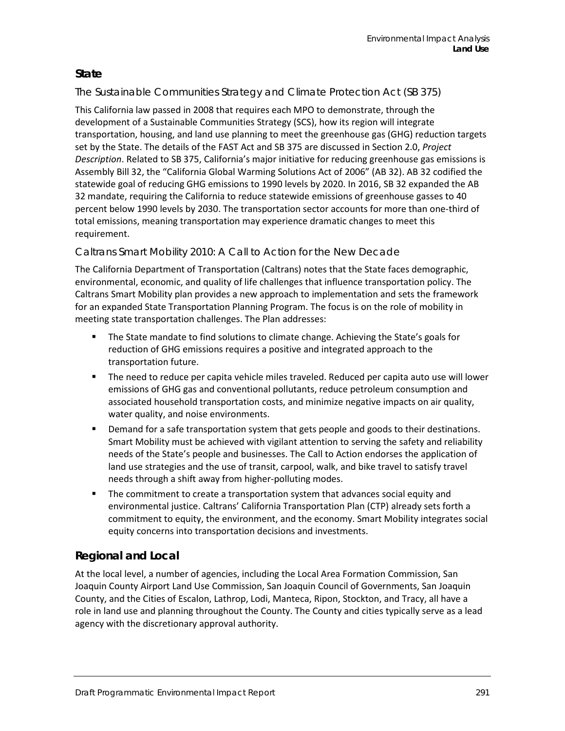### **State**

### *The Sustainable Communities Strategy and Climate Protection Act (SB 375)*

This California law passed in 2008 that requires each MPO to demonstrate, through the development of a Sustainable Communities Strategy (SCS), how its region will integrate transportation, housing, and land use planning to meet the greenhouse gas (GHG) reduction targets set by the State. The details of the FAST Act and SB 375 are discussed in Section 2.0, *Project Description*. Related to SB 375, California's major initiative for reducing greenhouse gas emissions is Assembly Bill 32, the "California Global Warming Solutions Act of 2006" (AB 32). AB 32 codified the statewide goal of reducing GHG emissions to 1990 levels by 2020. In 2016, SB 32 expanded the AB 32 mandate, requiring the California to reduce statewide emissions of greenhouse gasses to 40 percent below 1990 levels by 2030. The transportation sector accounts for more than one-third of total emissions, meaning transportation may experience dramatic changes to meet this requirement.

### *Caltrans Smart Mobility 2010: A Call to Action for the New Decade*

The California Department of Transportation (Caltrans) notes that the State faces demographic, environmental, economic, and quality of life challenges that influence transportation policy. The Caltrans Smart Mobility plan provides a new approach to implementation and sets the framework for an expanded State Transportation Planning Program. The focus is on the role of mobility in meeting state transportation challenges. The Plan addresses:

- **The State mandate to find solutions to climate change. Achieving the State's goals for** reduction of GHG emissions requires a positive and integrated approach to the transportation future.
- The need to reduce per capita vehicle miles traveled. Reduced per capita auto use will lower emissions of GHG gas and conventional pollutants, reduce petroleum consumption and associated household transportation costs, and minimize negative impacts on air quality, water quality, and noise environments.
- **•** Demand for a safe transportation system that gets people and goods to their destinations. Smart Mobility must be achieved with vigilant attention to serving the safety and reliability needs of the State's people and businesses. The Call to Action endorses the application of land use strategies and the use of transit, carpool, walk, and bike travel to satisfy travel needs through a shift away from higher-polluting modes.
- **The commitment to create a transportation system that advances social equity and** environmental justice. Caltrans' California Transportation Plan (CTP) already sets forth a commitment to equity, the environment, and the economy. Smart Mobility integrates social equity concerns into transportation decisions and investments.

## **Regional and Local**

At the local level, a number of agencies, including the Local Area Formation Commission, San Joaquin County Airport Land Use Commission, San Joaquin Council of Governments, San Joaquin County, and the Cities of Escalon, Lathrop, Lodi, Manteca, Ripon, Stockton, and Tracy, all have a role in land use and planning throughout the County. The County and cities typically serve as a lead agency with the discretionary approval authority.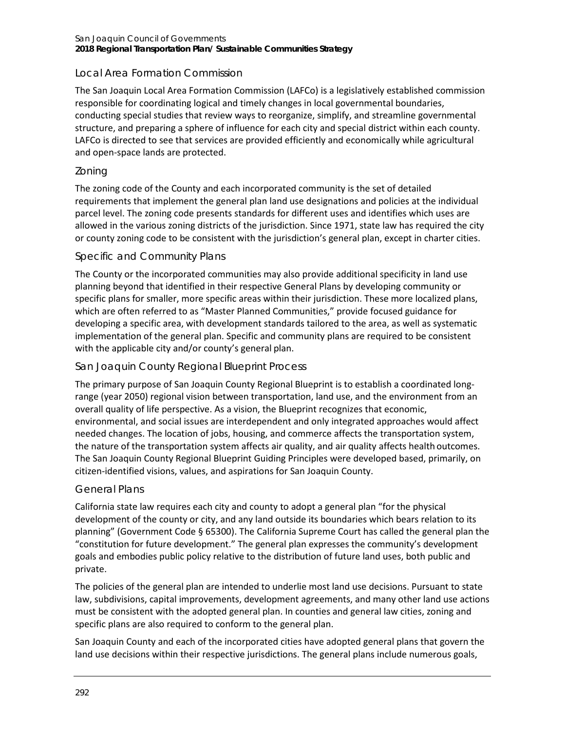### Local Area Formation Commission

The San Joaquin Local Area Formation Commission (LAFCo) is a legislatively established commission responsible for coordinating logical and timely changes in local governmental boundaries, conducting special studies that review ways to reorganize, simplify, and streamline governmental structure, and preparing a sphere of influence for each city and special district within each county. LAFCo is directed to see that services are provided efficiently and economically while agricultural and open-space lands are protected.

#### *Zoning*

The zoning code of the County and each incorporated community is the set of detailed requirements that implement the general plan land use designations and policies at the individual parcel level. The zoning code presents standards for different uses and identifies which uses are allowed in the various zoning districts of the jurisdiction. Since 1971, state law has required the city or county zoning code to be consistent with the jurisdiction's general plan, except in charter cities.

### *Specific and Community Plans*

The County or the incorporated communities may also provide additional specificity in land use planning beyond that identified in their respective General Plans by developing community or specific plans for smaller, more specific areas within their jurisdiction. These more localized plans, which are often referred to as "Master Planned Communities," provide focused guidance for developing a specific area, with development standards tailored to the area, as well as systematic implementation of the general plan. Specific and community plans are required to be consistent with the applicable city and/or county's general plan.

#### *San Joaquin County Regional Blueprint Process*

The primary purpose of San Joaquin County Regional Blueprint is to establish a coordinated longrange (year 2050) regional vision between transportation, land use, and the environment from an overall quality of life perspective. As a vision, the Blueprint recognizes that economic, environmental, and social issues are interdependent and only integrated approaches would affect needed changes. The location of jobs, housing, and commerce affects the transportation system, the nature of the transportation system affects air quality, and air quality affects health outcomes. The San Joaquin County Regional Blueprint Guiding Principles were developed based, primarily, on citizen-identified visions, values, and aspirations for San Joaquin County.

#### *General Plans*

California state law requires each city and county to adopt a general plan "for the physical development of the county or city, and any land outside its boundaries which bears relation to its planning" (Government Code § 65300). The California Supreme Court has called the general plan the "constitution for future development." The general plan expresses the community's development goals and embodies public policy relative to the distribution of future land uses, both public and private.

The policies of the general plan are intended to underlie most land use decisions. Pursuant to state law, subdivisions, capital improvements, development agreements, and many other land use actions must be consistent with the adopted general plan. In counties and general law cities, zoning and specific plans are also required to conform to the general plan.

San Joaquin County and each of the incorporated cities have adopted general plans that govern the land use decisions within their respective jurisdictions. The general plans include numerous goals,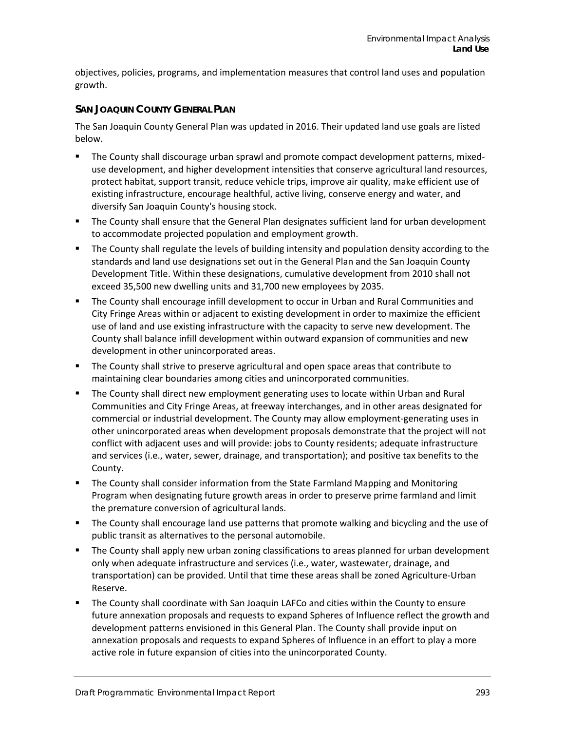objectives, policies, programs, and implementation measures that control land uses and population growth.

#### **SAN JOAQUIN COUNTY GENERAL PLAN**

The San Joaquin County General Plan was updated in 2016. Their updated land use goals are listed below.

- The County shall discourage urban sprawl and promote compact development patterns, mixeduse development, and higher development intensities that conserve agricultural land resources, protect habitat, support transit, reduce vehicle trips, improve air quality, make efficient use of existing infrastructure, encourage healthful, active living, conserve energy and water, and diversify San Joaquin County's housing stock.
- **The County shall ensure that the General Plan designates sufficient land for urban development** to accommodate projected population and employment growth.
- **The County shall regulate the levels of building intensity and population density according to the** standards and land use designations set out in the General Plan and the San Joaquin County Development Title. Within these designations, cumulative development from 2010 shall not exceed 35,500 new dwelling units and 31,700 new employees by 2035.
- The County shall encourage infill development to occur in Urban and Rural Communities and City Fringe Areas within or adjacent to existing development in order to maximize the efficient use of land and use existing infrastructure with the capacity to serve new development. The County shall balance infill development within outward expansion of communities and new development in other unincorporated areas.
- **The County shall strive to preserve agricultural and open space areas that contribute to** maintaining clear boundaries among cities and unincorporated communities.
- The County shall direct new employment generating uses to locate within Urban and Rural Communities and City Fringe Areas, at freeway interchanges, and in other areas designated for commercial or industrial development. The County may allow employment-generating uses in other unincorporated areas when development proposals demonstrate that the project will not conflict with adjacent uses and will provide: jobs to County residents; adequate infrastructure and services (i.e., water, sewer, drainage, and transportation); and positive tax benefits to the County.
- The County shall consider information from the State Farmland Mapping and Monitoring Program when designating future growth areas in order to preserve prime farmland and limit the premature conversion of agricultural lands.
- **The County shall encourage land use patterns that promote walking and bicycling and the use of** public transit as alternatives to the personal automobile.
- The County shall apply new urban zoning classifications to areas planned for urban development only when adequate infrastructure and services (i.e., water, wastewater, drainage, and transportation) can be provided. Until that time these areas shall be zoned Agriculture-Urban Reserve.
- The County shall coordinate with San Joaquin LAFCo and cities within the County to ensure future annexation proposals and requests to expand Spheres of Influence reflect the growth and development patterns envisioned in this General Plan. The County shall provide input on annexation proposals and requests to expand Spheres of Influence in an effort to play a more active role in future expansion of cities into the unincorporated County.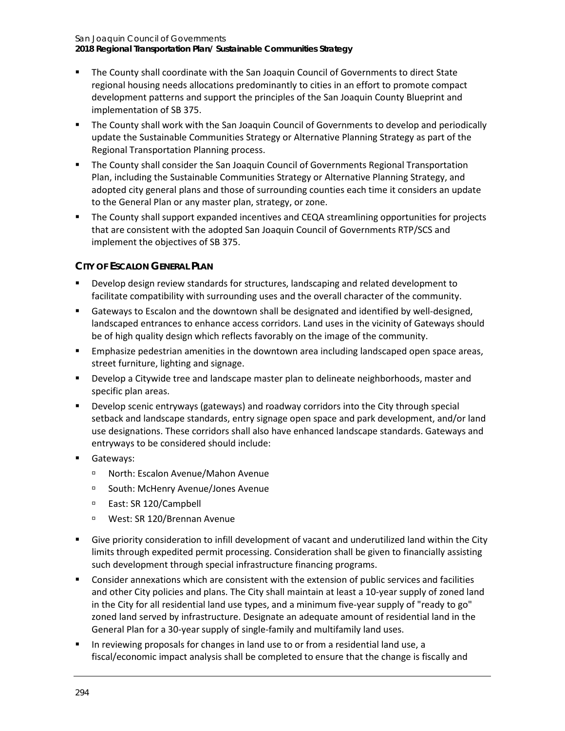**2018 Regional Transportation Plan/ Sustainable Communities Strategy**

- The County shall coordinate with the San Joaquin Council of Governments to direct State regional housing needs allocations predominantly to cities in an effort to promote compact development patterns and support the principles of the San Joaquin County Blueprint and implementation of SB 375.
- The County shall work with the San Joaquin Council of Governments to develop and periodically update the Sustainable Communities Strategy or Alternative Planning Strategy as part of the Regional Transportation Planning process.
- The County shall consider the San Joaquin Council of Governments Regional Transportation Plan, including the Sustainable Communities Strategy or Alternative Planning Strategy, and adopted city general plans and those of surrounding counties each time it considers an update to the General Plan or any master plan, strategy, or zone.
- The County shall support expanded incentives and CEQA streamlining opportunities for projects that are consistent with the adopted San Joaquin Council of Governments RTP/SCS and implement the objectives of SB 375.

### **CITY OF ESCALON GENERAL PLAN**

- Develop design review standards for structures, landscaping and related development to facilitate compatibility with surrounding uses and the overall character of the community.
- Gateways to Escalon and the downtown shall be designated and identified by well-designed, landscaped entrances to enhance access corridors. Land uses in the vicinity of Gateways should be of high quality design which reflects favorably on the image of the community.
- **Emphasize pedestrian amenities in the downtown area including landscaped open space areas,** street furniture, lighting and signage.
- **Develop a Citywide tree and landscape master plan to delineate neighborhoods, master and** specific plan areas.
- **Develop scenic entryways (gateways) and roadway corridors into the City through special** setback and landscape standards, entry signage open space and park development, and/or land use designations. These corridors shall also have enhanced landscape standards. Gateways and entryways to be considered should include:
- Gateways:
	- North: Escalon Avenue/Mahon Avenue
	- □ South: McHenry Avenue/Jones Avenue
	- □ East: SR 120/Campbell
	- West: SR 120/Brennan Avenue
- Give priority consideration to infill development of vacant and underutilized land within the City limits through expedited permit processing. Consideration shall be given to financially assisting such development through special infrastructure financing programs.
- Consider annexations which are consistent with the extension of public services and facilities and other City policies and plans. The City shall maintain at least a 10-year supply of zoned land in the City for all residential land use types, and a minimum five-year supply of "ready to go" zoned land served by infrastructure. Designate an adequate amount of residential land in the General Plan for a 30-year supply of single-family and multifamily land uses.
- **IF** In reviewing proposals for changes in land use to or from a residential land use, a fiscal/economic impact analysis shall be completed to ensure that the change is fiscally and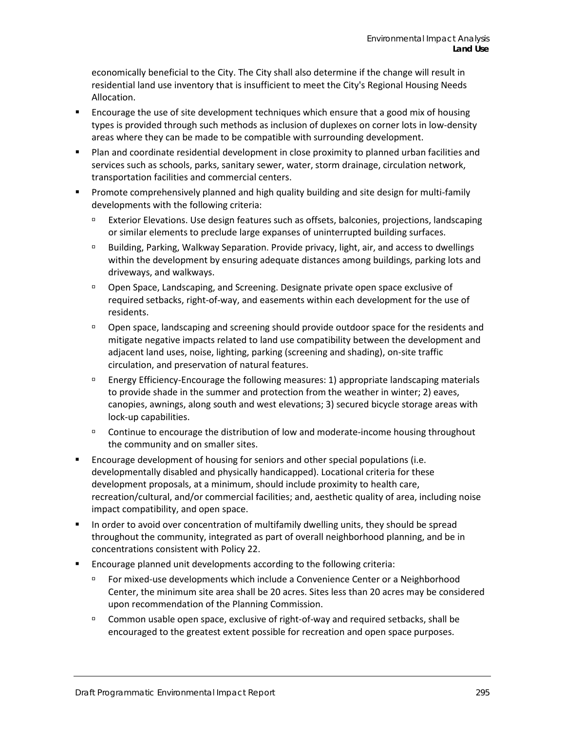economically beneficial to the City. The City shall also determine if the change will result in residential land use inventory that is insufficient to meet the City's Regional Housing Needs Allocation.

- **EXECUTE:** Encourage the use of site development techniques which ensure that a good mix of housing types is provided through such methods as inclusion of duplexes on corner lots in low-density areas where they can be made to be compatible with surrounding development.
- Plan and coordinate residential development in close proximity to planned urban facilities and services such as schools, parks, sanitary sewer, water, storm drainage, circulation network, transportation facilities and commercial centers.
- **Promote comprehensively planned and high quality building and site design for multi-family** developments with the following criteria:
	- Exterior Elevations. Use design features such as offsets, balconies, projections, landscaping or similar elements to preclude large expanses of uninterrupted building surfaces.
	- **Building, Parking, Walkway Separation. Provide privacy, light, air, and access to dwellings** within the development by ensuring adequate distances among buildings, parking lots and driveways, and walkways.
	- Open Space, Landscaping, and Screening. Designate private open space exclusive of required setbacks, right-of-way, and easements within each development for the use of residents.
	- Open space, landscaping and screening should provide outdoor space for the residents and mitigate negative impacts related to land use compatibility between the development and adjacent land uses, noise, lighting, parking (screening and shading), on-site traffic circulation, and preservation of natural features.
	- **Energy Efficiency-Encourage the following measures: 1) appropriate landscaping materials** to provide shade in the summer and protection from the weather in winter; 2) eaves, canopies, awnings, along south and west elevations; 3) secured bicycle storage areas with lock-up capabilities.
	- Continue to encourage the distribution of low and moderate-income housing throughout the community and on smaller sites.
- Encourage development of housing for seniors and other special populations (i.e. developmentally disabled and physically handicapped). Locational criteria for these development proposals, at a minimum, should include proximity to health care, recreation/cultural, and/or commercial facilities; and, aesthetic quality of area, including noise impact compatibility, and open space.
- In order to avoid over concentration of multifamily dwelling units, they should be spread throughout the community, integrated as part of overall neighborhood planning, and be in concentrations consistent with Policy 22.
- Encourage planned unit developments according to the following criteria:
	- For mixed-use developments which include a Convenience Center or a Neighborhood Center, the minimum site area shall be 20 acres. Sites less than 20 acres may be considered upon recommendation of the Planning Commission.
	- <sup>n</sup> Common usable open space, exclusive of right-of-way and required setbacks, shall be encouraged to the greatest extent possible for recreation and open space purposes.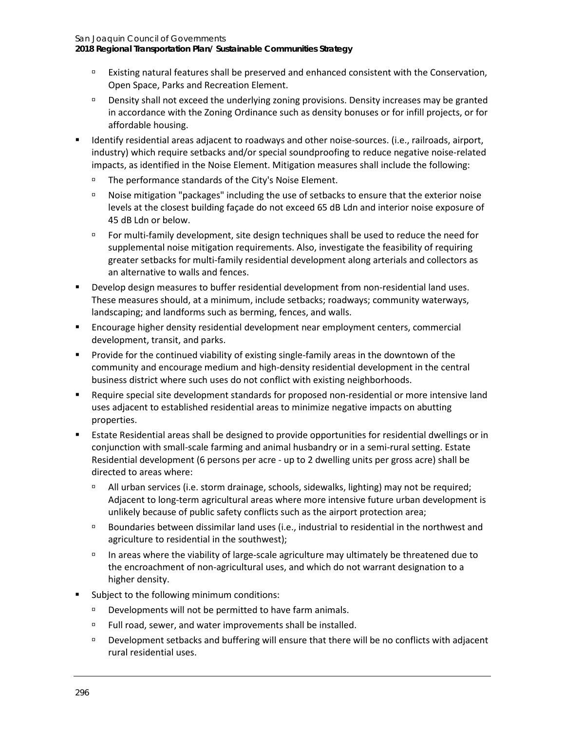**2018 Regional Transportation Plan/ Sustainable Communities Strategy**

- Existing natural features shall be preserved and enhanced consistent with the Conservation, Open Space, Parks and Recreation Element.
- Density shall not exceed the underlying zoning provisions. Density increases may be granted in accordance with the Zoning Ordinance such as density bonuses or for infill projects, or for affordable housing.
- Identify residential areas adjacent to roadways and other noise-sources. (i.e., railroads, airport, industry) which require setbacks and/or special soundproofing to reduce negative noise-related impacts, as identified in the Noise Element. Mitigation measures shall include the following:
	- □ The performance standards of the City's Noise Element.
	- Noise mitigation "packages" including the use of setbacks to ensure that the exterior noise levels at the closest building façade do not exceed 65 dB Ldn and interior noise exposure of 45 dB Ldn or below.
	- For multi-family development, site design techniques shall be used to reduce the need for supplemental noise mitigation requirements. Also, investigate the feasibility of requiring greater setbacks for multi-family residential development along arterials and collectors as an alternative to walls and fences.
- **Develop design measures to buffer residential development from non-residential land uses.** These measures should, at a minimum, include setbacks; roadways; community waterways, landscaping; and landforms such as berming, fences, and walls.
- Encourage higher density residential development near employment centers, commercial development, transit, and parks.
- **Provide for the continued viability of existing single-family areas in the downtown of the** community and encourage medium and high-density residential development in the central business district where such uses do not conflict with existing neighborhoods.
- Require special site development standards for proposed non-residential or more intensive land uses adjacent to established residential areas to minimize negative impacts on abutting properties.
- Estate Residential areas shall be designed to provide opportunities for residential dwellings or in conjunction with small-scale farming and animal husbandry or in a semi-rural setting. Estate Residential development (6 persons per acre - up to 2 dwelling units per gross acre) shall be directed to areas where:
	- All urban services (i.e. storm drainage, schools, sidewalks, lighting) may not be required; Adjacent to long-term agricultural areas where more intensive future urban development is unlikely because of public safety conflicts such as the airport protection area;
	- Boundaries between dissimilar land uses (i.e., industrial to residential in the northwest and agriculture to residential in the southwest);
	- $\Box$  In areas where the viability of large-scale agriculture may ultimately be threatened due to the encroachment of non-agricultural uses, and which do not warrant designation to a higher density.
- Subject to the following minimum conditions:
	- Developments will not be permitted to have farm animals.
	- □ Full road, sewer, and water improvements shall be installed.
	- Development setbacks and buffering will ensure that there will be no conflicts with adjacent rural residential uses.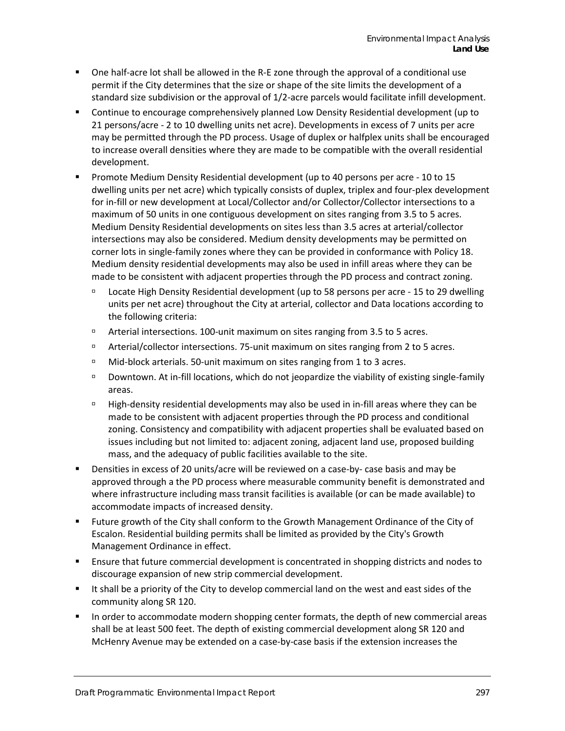- One half-acre lot shall be allowed in the R-E zone through the approval of a conditional use permit if the City determines that the size or shape of the site limits the development of a standard size subdivision or the approval of 1/2-acre parcels would facilitate infill development.
- Continue to encourage comprehensively planned Low Density Residential development (up to 21 persons/acre - 2 to 10 dwelling units net acre). Developments in excess of 7 units per acre may be permitted through the PD process. Usage of duplex or halfplex units shall be encouraged to increase overall densities where they are made to be compatible with the overall residential development.
- Promote Medium Density Residential development (up to 40 persons per acre 10 to 15 dwelling units per net acre) which typically consists of duplex, triplex and four-plex development for in-fill or new development at Local/Collector and/or Collector/Collector intersections to a maximum of 50 units in one contiguous development on sites ranging from 3.5 to 5 acres. Medium Density Residential developments on sites less than 3.5 acres at arterial/collector intersections may also be considered. Medium density developments may be permitted on corner lots in single-family zones where they can be provided in conformance with Policy 18. Medium density residential developments may also be used in infill areas where they can be made to be consistent with adjacent properties through the PD process and contract zoning.
	- Locate High Density Residential development (up to 58 persons per acre 15 to 29 dwelling units per net acre) throughout the City at arterial, collector and Data locations according to the following criteria:
	- Arterial intersections. 100-unit maximum on sites ranging from 3.5 to 5 acres.
	- Arterial/collector intersections. 75-unit maximum on sites ranging from 2 to 5 acres.
	- □ Mid-block arterials. 50-unit maximum on sites ranging from 1 to 3 acres.
	- Downtown. At in-fill locations, which do not jeopardize the viability of existing single-family areas.
	- High-density residential developments may also be used in in-fill areas where they can be made to be consistent with adjacent properties through the PD process and conditional zoning. Consistency and compatibility with adjacent properties shall be evaluated based on issues including but not limited to: adjacent zoning, adjacent land use, proposed building mass, and the adequacy of public facilities available to the site.
- Densities in excess of 20 units/acre will be reviewed on a case-by- case basis and may be approved through a the PD process where measurable community benefit is demonstrated and where infrastructure including mass transit facilities is available (or can be made available) to accommodate impacts of increased density.
- Future growth of the City shall conform to the Growth Management Ordinance of the City of Escalon. Residential building permits shall be limited as provided by the City's Growth Management Ordinance in effect.
- Ensure that future commercial development is concentrated in shopping districts and nodes to discourage expansion of new strip commercial development.
- It shall be a priority of the City to develop commercial land on the west and east sides of the community along SR 120.
- In order to accommodate modern shopping center formats, the depth of new commercial areas shall be at least 500 feet. The depth of existing commercial development along SR 120 and McHenry Avenue may be extended on a case-by-case basis if the extension increases the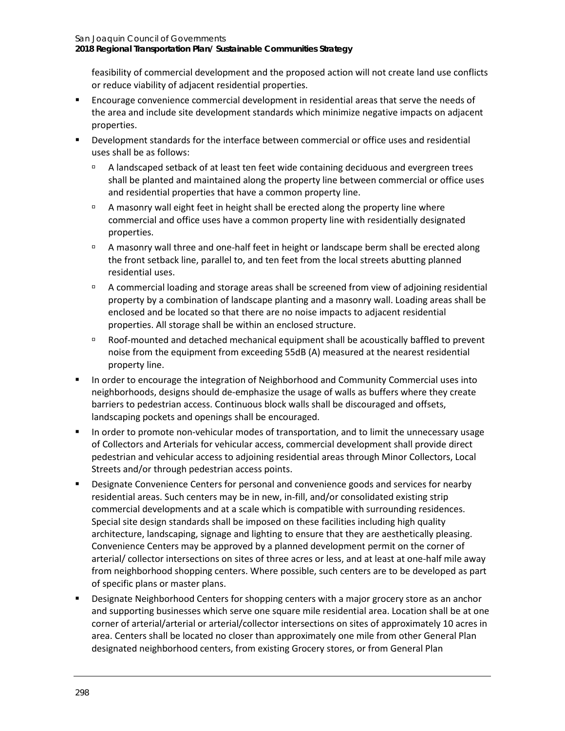**2018 Regional Transportation Plan/ Sustainable Communities Strategy**

feasibility of commercial development and the proposed action will not create land use conflicts or reduce viability of adjacent residential properties.

- Encourage convenience commercial development in residential areas that serve the needs of the area and include site development standards which minimize negative impacts on adjacent properties.
- Development standards for the interface between commercial or office uses and residential uses shall be as follows:
	- A landscaped setback of at least ten feet wide containing deciduous and evergreen trees shall be planted and maintained along the property line between commercial or office uses and residential properties that have a common property line.
	- <sup>n</sup> A masonry wall eight feet in height shall be erected along the property line where commercial and office uses have a common property line with residentially designated properties.
	- <sup>D</sup> A masonry wall three and one-half feet in height or landscape berm shall be erected along the front setback line, parallel to, and ten feet from the local streets abutting planned residential uses.
	- A commercial loading and storage areas shall be screened from view of adjoining residential property by a combination of landscape planting and a masonry wall. Loading areas shall be enclosed and be located so that there are no noise impacts to adjacent residential properties. All storage shall be within an enclosed structure.
	- Roof-mounted and detached mechanical equipment shall be acoustically baffled to prevent noise from the equipment from exceeding 55dB (A) measured at the nearest residential property line.
- In order to encourage the integration of Neighborhood and Community Commercial uses into neighborhoods, designs should de-emphasize the usage of walls as buffers where they create barriers to pedestrian access. Continuous block walls shall be discouraged and offsets, landscaping pockets and openings shall be encouraged.
- In order to promote non-vehicular modes of transportation, and to limit the unnecessary usage of Collectors and Arterials for vehicular access, commercial development shall provide direct pedestrian and vehicular access to adjoining residential areas through Minor Collectors, Local Streets and/or through pedestrian access points.
- **Designate Convenience Centers for personal and convenience goods and services for nearby** residential areas. Such centers may be in new, in-fill, and/or consolidated existing strip commercial developments and at a scale which is compatible with surrounding residences. Special site design standards shall be imposed on these facilities including high quality architecture, landscaping, signage and lighting to ensure that they are aesthetically pleasing. Convenience Centers may be approved by a planned development permit on the corner of arterial/ collector intersections on sites of three acres or less, and at least at one-half mile away from neighborhood shopping centers. Where possible, such centers are to be developed as part of specific plans or master plans.
- Designate Neighborhood Centers for shopping centers with a major grocery store as an anchor and supporting businesses which serve one square mile residential area. Location shall be at one corner of arterial/arterial or arterial/collector intersections on sites of approximately 10 acres in area. Centers shall be located no closer than approximately one mile from other General Plan designated neighborhood centers, from existing Grocery stores, or from General Plan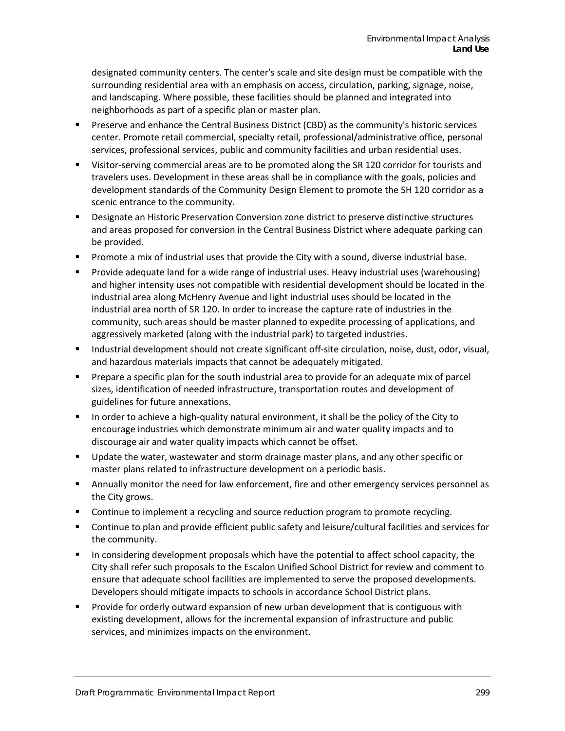designated community centers. The center's scale and site design must be compatible with the surrounding residential area with an emphasis on access, circulation, parking, signage, noise, and landscaping. Where possible, these facilities should be planned and integrated into neighborhoods as part of a specific plan or master plan.

- Preserve and enhance the Central Business District (CBD) as the community's historic services center. Promote retail commercial, specialty retail, professional/administrative office, personal services, professional services, public and community facilities and urban residential uses.
- Visitor-serving commercial areas are to be promoted along the SR 120 corridor for tourists and travelers uses. Development in these areas shall be in compliance with the goals, policies and development standards of the Community Design Element to promote the SH 120 corridor as a scenic entrance to the community.
- Designate an Historic Preservation Conversion zone district to preserve distinctive structures and areas proposed for conversion in the Central Business District where adequate parking can be provided.
- Promote a mix of industrial uses that provide the City with a sound, diverse industrial base.
- Provide adequate land for a wide range of industrial uses. Heavy industrial uses (warehousing) and higher intensity uses not compatible with residential development should be located in the industrial area along McHenry Avenue and light industrial uses should be located in the industrial area north of SR 120. In order to increase the capture rate of industries in the community, such areas should be master planned to expedite processing of applications, and aggressively marketed (along with the industrial park) to targeted industries.
- **Industrial development should not create significant off-site circulation, noise, dust, odor, visual,** and hazardous materials impacts that cannot be adequately mitigated.
- **Prepare a specific plan for the south industrial area to provide for an adequate mix of parcel** sizes, identification of needed infrastructure, transportation routes and development of guidelines for future annexations.
- In order to achieve a high-quality natural environment, it shall be the policy of the City to encourage industries which demonstrate minimum air and water quality impacts and to discourage air and water quality impacts which cannot be offset.
- Update the water, wastewater and storm drainage master plans, and any other specific or master plans related to infrastructure development on a periodic basis.
- **Annually monitor the need for law enforcement, fire and other emergency services personnel as** the City grows.
- Continue to implement a recycling and source reduction program to promote recycling.
- Continue to plan and provide efficient public safety and leisure/cultural facilities and services for the community.
- In considering development proposals which have the potential to affect school capacity, the City shall refer such proposals to the Escalon Unified School District for review and comment to ensure that adequate school facilities are implemented to serve the proposed developments. Developers should mitigate impacts to schools in accordance School District plans.
- Provide for orderly outward expansion of new urban development that is contiguous with existing development, allows for the incremental expansion of infrastructure and public services, and minimizes impacts on the environment.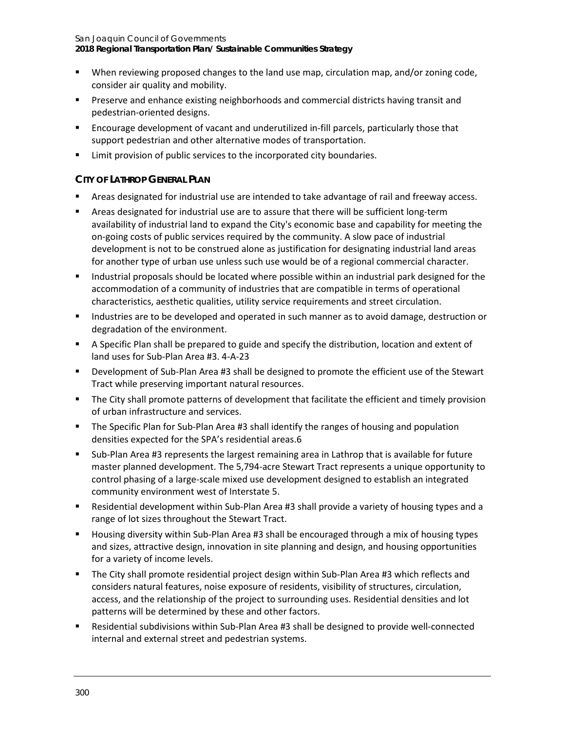**2018 Regional Transportation Plan/ Sustainable Communities Strategy**

- When reviewing proposed changes to the land use map, circulation map, and/or zoning code, consider air quality and mobility.
- **Preserve and enhance existing neighborhoods and commercial districts having transit and** pedestrian-oriented designs.
- Encourage development of vacant and underutilized in-fill parcels, particularly those that support pedestrian and other alternative modes of transportation.
- **EXECT** Limit provision of public services to the incorporated city boundaries.

### **CITY OF LATHROP GENERAL PLAN**

- Areas designated for industrial use are intended to take advantage of rail and freeway access.
- Areas designated for industrial use are to assure that there will be sufficient long-term availability of industrial land to expand the City's economic base and capability for meeting the on-going costs of public services required by the community. A slow pace of industrial development is not to be construed alone as justification for designating industrial land areas for another type of urban use unless such use would be of a regional commercial character.
- Industrial proposals should be located where possible within an industrial park designed for the accommodation of a community of industries that are compatible in terms of operational characteristics, aesthetic qualities, utility service requirements and street circulation.
- Industries are to be developed and operated in such manner as to avoid damage, destruction or degradation of the environment.
- **A** Specific Plan shall be prepared to guide and specify the distribution, location and extent of land uses for Sub-Plan Area #3. 4-A-23
- Development of Sub-Plan Area #3 shall be designed to promote the efficient use of the Stewart Tract while preserving important natural resources.
- The City shall promote patterns of development that facilitate the efficient and timely provision of urban infrastructure and services.
- The Specific Plan for Sub-Plan Area #3 shall identify the ranges of housing and population densities expected for the SPA's residential areas.6
- Sub-Plan Area #3 represents the largest remaining area in Lathrop that is available for future master planned development. The 5,794-acre Stewart Tract represents a unique opportunity to control phasing of a large-scale mixed use development designed to establish an integrated community environment west of Interstate 5.
- Residential development within Sub-Plan Area #3 shall provide a variety of housing types and a range of lot sizes throughout the Stewart Tract.
- Housing diversity within Sub-Plan Area #3 shall be encouraged through a mix of housing types and sizes, attractive design, innovation in site planning and design, and housing opportunities for a variety of income levels.
- The City shall promote residential project design within Sub-Plan Area #3 which reflects and considers natural features, noise exposure of residents, visibility of structures, circulation, access, and the relationship of the project to surrounding uses. Residential densities and lot patterns will be determined by these and other factors.
- Residential subdivisions within Sub-Plan Area #3 shall be designed to provide well-connected internal and external street and pedestrian systems.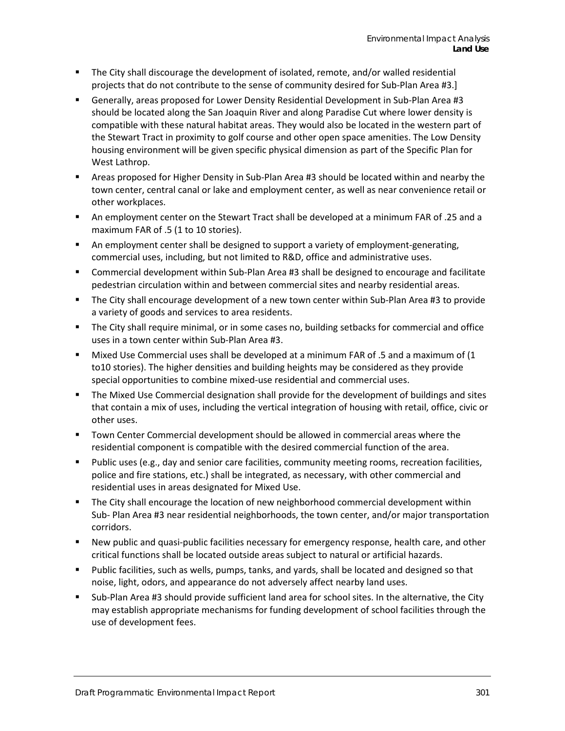- **The City shall discourage the development of isolated, remote, and/or walled residential** projects that do not contribute to the sense of community desired for Sub-Plan Area #3.]
- Generally, areas proposed for Lower Density Residential Development in Sub-Plan Area #3 should be located along the San Joaquin River and along Paradise Cut where lower density is compatible with these natural habitat areas. They would also be located in the western part of the Stewart Tract in proximity to golf course and other open space amenities. The Low Density housing environment will be given specific physical dimension as part of the Specific Plan for West Lathrop.
- Areas proposed for Higher Density in Sub-Plan Area #3 should be located within and nearby the town center, central canal or lake and employment center, as well as near convenience retail or other workplaces.
- An employment center on the Stewart Tract shall be developed at a minimum FAR of .25 and a maximum FAR of .5 (1 to 10 stories).
- An employment center shall be designed to support a variety of employment-generating, commercial uses, including, but not limited to R&D, office and administrative uses.
- Commercial development within Sub-Plan Area #3 shall be designed to encourage and facilitate pedestrian circulation within and between commercial sites and nearby residential areas.
- The City shall encourage development of a new town center within Sub-Plan Area #3 to provide a variety of goods and services to area residents.
- The City shall require minimal, or in some cases no, building setbacks for commercial and office uses in a town center within Sub-Plan Area #3.
- Mixed Use Commercial uses shall be developed at a minimum FAR of .5 and a maximum of (1 to10 stories). The higher densities and building heights may be considered as they provide special opportunities to combine mixed-use residential and commercial uses.
- The Mixed Use Commercial designation shall provide for the development of buildings and sites that contain a mix of uses, including the vertical integration of housing with retail, office, civic or other uses.
- Town Center Commercial development should be allowed in commercial areas where the residential component is compatible with the desired commercial function of the area.
- **Public uses (e.g., day and senior care facilities, community meeting rooms, recreation facilities,** police and fire stations, etc.) shall be integrated, as necessary, with other commercial and residential uses in areas designated for Mixed Use.
- The City shall encourage the location of new neighborhood commercial development within Sub- Plan Area #3 near residential neighborhoods, the town center, and/or major transportation corridors.
- New public and quasi-public facilities necessary for emergency response, health care, and other critical functions shall be located outside areas subject to natural or artificial hazards.
- Public facilities, such as wells, pumps, tanks, and yards, shall be located and designed so that noise, light, odors, and appearance do not adversely affect nearby land uses.
- Sub-Plan Area #3 should provide sufficient land area for school sites. In the alternative, the City may establish appropriate mechanisms for funding development of school facilities through the use of development fees.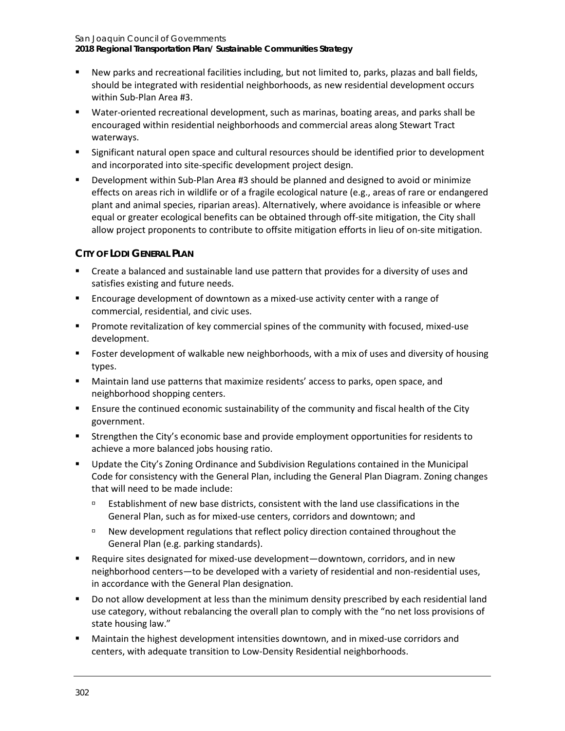**2018 Regional Transportation Plan/ Sustainable Communities Strategy**

- New parks and recreational facilities including, but not limited to, parks, plazas and ball fields, should be integrated with residential neighborhoods, as new residential development occurs within Sub-Plan Area #3.
- Water-oriented recreational development, such as marinas, boating areas, and parks shall be encouraged within residential neighborhoods and commercial areas along Stewart Tract waterways.
- Significant natural open space and cultural resources should be identified prior to development and incorporated into site-specific development project design.
- Development within Sub-Plan Area #3 should be planned and designed to avoid or minimize effects on areas rich in wildlife or of a fragile ecological nature (e.g., areas of rare or endangered plant and animal species, riparian areas). Alternatively, where avoidance is infeasible or where equal or greater ecological benefits can be obtained through off-site mitigation, the City shall allow project proponents to contribute to offsite mitigation efforts in lieu of on-site mitigation.

### **CITY OF LODI GENERAL PLAN**

- Create a balanced and sustainable land use pattern that provides for a diversity of uses and satisfies existing and future needs.
- Encourage development of downtown as a mixed-use activity center with a range of commercial, residential, and civic uses.
- Promote revitalization of key commercial spines of the community with focused, mixed-use development.
- **F** Foster development of walkable new neighborhoods, with a mix of uses and diversity of housing types.
- Maintain land use patterns that maximize residents' access to parks, open space, and neighborhood shopping centers.
- Ensure the continued economic sustainability of the community and fiscal health of the City government.
- Strengthen the City's economic base and provide employment opportunities for residents to achieve a more balanced jobs housing ratio.
- Update the City's Zoning Ordinance and Subdivision Regulations contained in the Municipal Code for consistency with the General Plan, including the General Plan Diagram. Zoning changes that will need to be made include:
	- $\Box$  Establishment of new base districts, consistent with the land use classifications in the General Plan, such as for mixed-use centers, corridors and downtown; and
	- New development regulations that reflect policy direction contained throughout the General Plan (e.g. parking standards).
- Require sites designated for mixed-use development—downtown, corridors, and in new neighborhood centers—to be developed with a variety of residential and non-residential uses, in accordance with the General Plan designation.
- Do not allow development at less than the minimum density prescribed by each residential land use category, without rebalancing the overall plan to comply with the "no net loss provisions of state housing law."
- Maintain the highest development intensities downtown, and in mixed-use corridors and centers, with adequate transition to Low-Density Residential neighborhoods.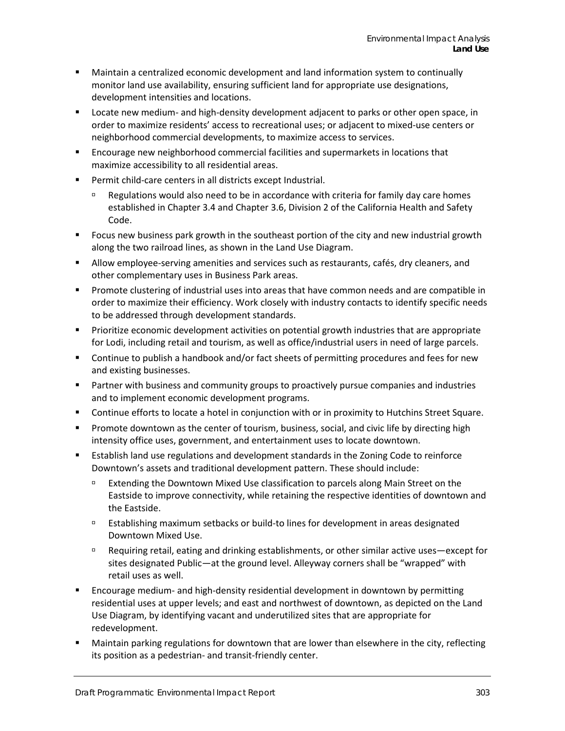- Maintain a centralized economic development and land information system to continually monitor land use availability, ensuring sufficient land for appropriate use designations, development intensities and locations.
- **Locate new medium- and high-density development adjacent to parks or other open space, in** order to maximize residents' access to recreational uses; or adjacent to mixed-use centers or neighborhood commercial developments, to maximize access to services.
- Encourage new neighborhood commercial facilities and supermarkets in locations that maximize accessibility to all residential areas.
- Permit child-care centers in all districts except Industrial.
	- Regulations would also need to be in accordance with criteria for family day care homes established in Chapter 3.4 and Chapter 3.6, Division 2 of the California Health and Safety Code.
- Focus new business park growth in the southeast portion of the city and new industrial growth along the two railroad lines, as shown in the Land Use Diagram.
- Allow employee-serving amenities and services such as restaurants, cafés, dry cleaners, and other complementary uses in Business Park areas.
- Promote clustering of industrial uses into areas that have common needs and are compatible in order to maximize their efficiency. Work closely with industry contacts to identify specific needs to be addressed through development standards.
- **Prioritize economic development activities on potential growth industries that are appropriate** for Lodi, including retail and tourism, as well as office/industrial users in need of large parcels.
- **Continue to publish a handbook and/or fact sheets of permitting procedures and fees for new** and existing businesses.
- **Partner with business and community groups to proactively pursue companies and industries** and to implement economic development programs.
- Continue efforts to locate a hotel in conjunction with or in proximity to Hutchins Street Square.
- **Promote downtown as the center of tourism, business, social, and civic life by directing high** intensity office uses, government, and entertainment uses to locate downtown.
- Establish land use regulations and development standards in the Zoning Code to reinforce Downtown's assets and traditional development pattern. These should include:
	- Extending the Downtown Mixed Use classification to parcels along Main Street on the Eastside to improve connectivity, while retaining the respective identities of downtown and the Eastside.
	- Establishing maximum setbacks or build-to lines for development in areas designated Downtown Mixed Use.
	- Requiring retail, eating and drinking establishments, or other similar active uses—except for sites designated Public—at the ground level. Alleyway corners shall be "wrapped" with retail uses as well.
- Encourage medium- and high-density residential development in downtown by permitting residential uses at upper levels; and east and northwest of downtown, as depicted on the Land Use Diagram, by identifying vacant and underutilized sites that are appropriate for redevelopment.
- Maintain parking regulations for downtown that are lower than elsewhere in the city, reflecting its position as a pedestrian- and transit-friendly center.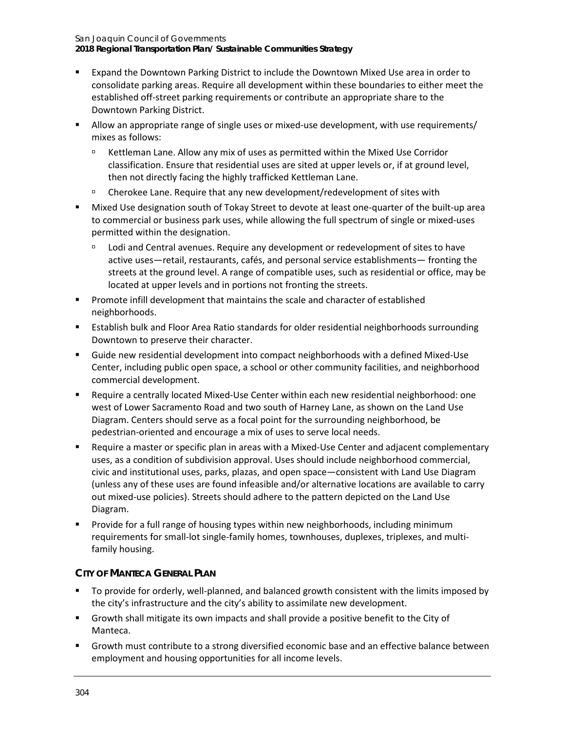**2018 Regional Transportation Plan/ Sustainable Communities Strategy**

- Expand the Downtown Parking District to include the Downtown Mixed Use area in order to consolidate parking areas. Require all development within these boundaries to either meet the established off-street parking requirements or contribute an appropriate share to the Downtown Parking District.
- Allow an appropriate range of single uses or mixed-use development, with use requirements/ mixes as follows:
	- Kettleman Lane. Allow any mix of uses as permitted within the Mixed Use Corridor classification. Ensure that residential uses are sited at upper levels or, if at ground level, then not directly facing the highly trafficked Kettleman Lane.
	- Cherokee Lane. Require that any new development/redevelopment of sites with
- Mixed Use designation south of Tokay Street to devote at least one-quarter of the built-up area to commercial or business park uses, while allowing the full spectrum of single or mixed-uses permitted within the designation.
	- □ Lodi and Central avenues. Require any development or redevelopment of sites to have active uses—retail, restaurants, cafés, and personal service establishments— fronting the streets at the ground level. A range of compatible uses, such as residential or office, may be located at upper levels and in portions not fronting the streets.
- Promote infill development that maintains the scale and character of established neighborhoods.
- Establish bulk and Floor Area Ratio standards for older residential neighborhoods surrounding Downtown to preserve their character.
- Guide new residential development into compact neighborhoods with a defined Mixed-Use Center, including public open space, a school or other community facilities, and neighborhood commercial development.
- Require a centrally located Mixed-Use Center within each new residential neighborhood: one west of Lower Sacramento Road and two south of Harney Lane, as shown on the Land Use Diagram. Centers should serve as a focal point for the surrounding neighborhood, be pedestrian-oriented and encourage a mix of uses to serve local needs.
- Require a master or specific plan in areas with a Mixed-Use Center and adjacent complementary uses, as a condition of subdivision approval. Uses should include neighborhood commercial, civic and institutional uses, parks, plazas, and open space—consistent with Land Use Diagram (unless any of these uses are found infeasible and/or alternative locations are available to carry out mixed-use policies). Streets should adhere to the pattern depicted on the Land Use Diagram.
- Provide for a full range of housing types within new neighborhoods, including minimum requirements for small-lot single-family homes, townhouses, duplexes, triplexes, and multifamily housing.

### **CITY OF MANTECA GENERAL PLAN**

- To provide for orderly, well-planned, and balanced growth consistent with the limits imposed by the city's infrastructure and the city's ability to assimilate new development.
- Growth shall mitigate its own impacts and shall provide a positive benefit to the City of Manteca.
- Growth must contribute to a strong diversified economic base and an effective balance between employment and housing opportunities for all income levels.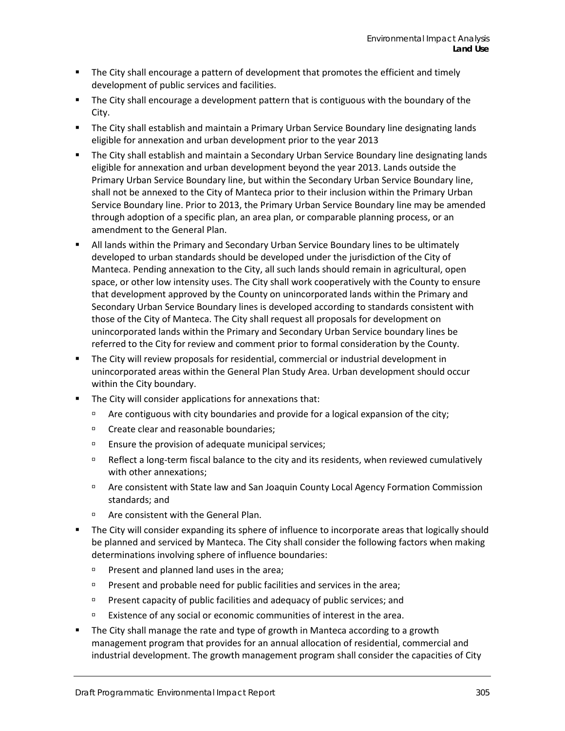- The City shall encourage a pattern of development that promotes the efficient and timely development of public services and facilities.
- **The City shall encourage a development pattern that is contiguous with the boundary of the** City.
- The City shall establish and maintain a Primary Urban Service Boundary line designating lands eligible for annexation and urban development prior to the year 2013
- The City shall establish and maintain a Secondary Urban Service Boundary line designating lands eligible for annexation and urban development beyond the year 2013. Lands outside the Primary Urban Service Boundary line, but within the Secondary Urban Service Boundary line, shall not be annexed to the City of Manteca prior to their inclusion within the Primary Urban Service Boundary line. Prior to 2013, the Primary Urban Service Boundary line may be amended through adoption of a specific plan, an area plan, or comparable planning process, or an amendment to the General Plan.
- All lands within the Primary and Secondary Urban Service Boundary lines to be ultimately developed to urban standards should be developed under the jurisdiction of the City of Manteca. Pending annexation to the City, all such lands should remain in agricultural, open space, or other low intensity uses. The City shall work cooperatively with the County to ensure that development approved by the County on unincorporated lands within the Primary and Secondary Urban Service Boundary lines is developed according to standards consistent with those of the City of Manteca. The City shall request all proposals for development on unincorporated lands within the Primary and Secondary Urban Service boundary lines be referred to the City for review and comment prior to formal consideration by the County.
- The City will review proposals for residential, commercial or industrial development in unincorporated areas within the General Plan Study Area. Urban development should occur within the City boundary.
- The City will consider applications for annexations that:
	- $\Box$  Are contiguous with city boundaries and provide for a logical expansion of the city;
	- □ Create clear and reasonable boundaries:
	- $\Box$  Ensure the provision of adequate municipal services;
	- Reflect a long-term fiscal balance to the city and its residents, when reviewed cumulatively with other annexations;
	- Are consistent with State law and San Joaquin County Local Agency Formation Commission standards; and
	- **EXEC** Are consistent with the General Plan.
- The City will consider expanding its sphere of influence to incorporate areas that logically should be planned and serviced by Manteca. The City shall consider the following factors when making determinations involving sphere of influence boundaries:
	- $P$ resent and planned land uses in the area;
	- **Present and probable need for public facilities and services in the area;**
	- **Present capacity of public facilities and adequacy of public services; and**
	- $P^{\Box}$  Existence of any social or economic communities of interest in the area.
- The City shall manage the rate and type of growth in Manteca according to a growth management program that provides for an annual allocation of residential, commercial and industrial development. The growth management program shall consider the capacities of City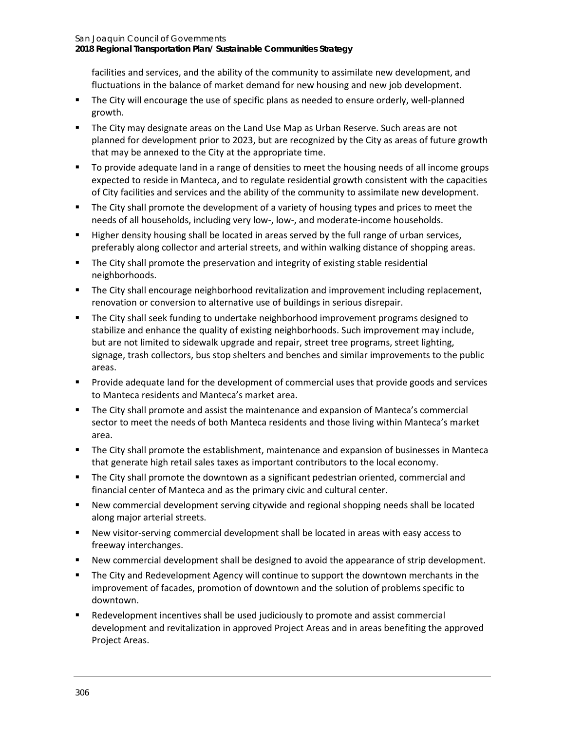facilities and services, and the ability of the community to assimilate new development, and fluctuations in the balance of market demand for new housing and new job development.

- **The City will encourage the use of specific plans as needed to ensure orderly, well-planned** growth.
- The City may designate areas on the Land Use Map as Urban Reserve. Such areas are not planned for development prior to 2023, but are recognized by the City as areas of future growth that may be annexed to the City at the appropriate time.
- To provide adequate land in a range of densities to meet the housing needs of all income groups expected to reside in Manteca, and to regulate residential growth consistent with the capacities of City facilities and services and the ability of the community to assimilate new development.
- The City shall promote the development of a variety of housing types and prices to meet the needs of all households, including very low-, low-, and moderate-income households.
- Higher density housing shall be located in areas served by the full range of urban services, preferably along collector and arterial streets, and within walking distance of shopping areas.
- The City shall promote the preservation and integrity of existing stable residential neighborhoods.
- The City shall encourage neighborhood revitalization and improvement including replacement, renovation or conversion to alternative use of buildings in serious disrepair.
- The City shall seek funding to undertake neighborhood improvement programs designed to stabilize and enhance the quality of existing neighborhoods. Such improvement may include, but are not limited to sidewalk upgrade and repair, street tree programs, street lighting, signage, trash collectors, bus stop shelters and benches and similar improvements to the public areas.
- **Provide adequate land for the development of commercial uses that provide goods and services** to Manteca residents and Manteca's market area.
- The City shall promote and assist the maintenance and expansion of Manteca's commercial sector to meet the needs of both Manteca residents and those living within Manteca's market area.
- The City shall promote the establishment, maintenance and expansion of businesses in Manteca that generate high retail sales taxes as important contributors to the local economy.
- The City shall promote the downtown as a significant pedestrian oriented, commercial and financial center of Manteca and as the primary civic and cultural center.
- New commercial development serving citywide and regional shopping needs shall be located along major arterial streets.
- New visitor-serving commercial development shall be located in areas with easy access to freeway interchanges.
- New commercial development shall be designed to avoid the appearance of strip development.
- The City and Redevelopment Agency will continue to support the downtown merchants in the improvement of facades, promotion of downtown and the solution of problems specific to downtown.
- Redevelopment incentives shall be used judiciously to promote and assist commercial development and revitalization in approved Project Areas and in areas benefiting the approved Project Areas.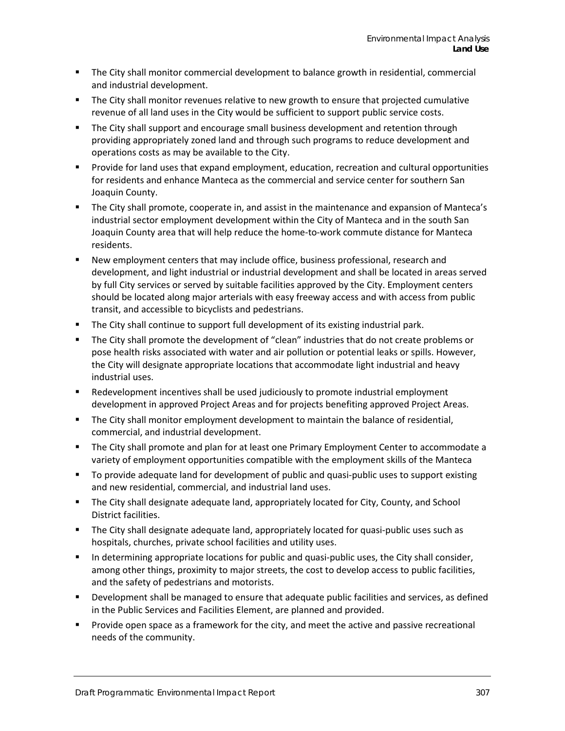- The City shall monitor commercial development to balance growth in residential, commercial and industrial development.
- **The City shall monitor revenues relative to new growth to ensure that projected cumulative** revenue of all land uses in the City would be sufficient to support public service costs.
- **The City shall support and encourage small business development and retention through** providing appropriately zoned land and through such programs to reduce development and operations costs as may be available to the City.
- **Provide for land uses that expand employment, education, recreation and cultural opportunities** for residents and enhance Manteca as the commercial and service center for southern San Joaquin County.
- The City shall promote, cooperate in, and assist in the maintenance and expansion of Manteca's industrial sector employment development within the City of Manteca and in the south San Joaquin County area that will help reduce the home-to-work commute distance for Manteca residents.
- New employment centers that may include office, business professional, research and development, and light industrial or industrial development and shall be located in areas served by full City services or served by suitable facilities approved by the City. Employment centers should be located along major arterials with easy freeway access and with access from public transit, and accessible to bicyclists and pedestrians.
- The City shall continue to support full development of its existing industrial park.
- The City shall promote the development of "clean" industries that do not create problems or pose health risks associated with water and air pollution or potential leaks or spills. However, the City will designate appropriate locations that accommodate light industrial and heavy industrial uses.
- Redevelopment incentives shall be used judiciously to promote industrial employment development in approved Project Areas and for projects benefiting approved Project Areas.
- The City shall monitor employment development to maintain the balance of residential, commercial, and industrial development.
- The City shall promote and plan for at least one Primary Employment Center to accommodate a variety of employment opportunities compatible with the employment skills of the Manteca
- To provide adequate land for development of public and quasi-public uses to support existing and new residential, commercial, and industrial land uses.
- **The City shall designate adequate land, appropriately located for City, County, and School** District facilities.
- The City shall designate adequate land, appropriately located for quasi-public uses such as hospitals, churches, private school facilities and utility uses.
- In determining appropriate locations for public and quasi-public uses, the City shall consider, among other things, proximity to major streets, the cost to develop access to public facilities, and the safety of pedestrians and motorists.
- Development shall be managed to ensure that adequate public facilities and services, as defined in the Public Services and Facilities Element, are planned and provided.
- **Provide open space as a framework for the city, and meet the active and passive recreational** needs of the community.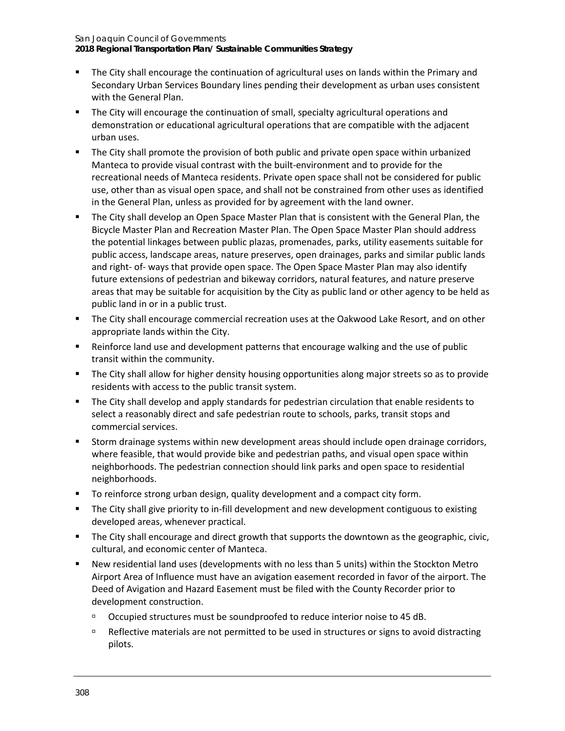#### San Joaquin Council of Governments **2018 Regional Transportation Plan/ Sustainable Communities Strategy**

- **The City shall encourage the continuation of agricultural uses on lands within the Primary and** Secondary Urban Services Boundary lines pending their development as urban uses consistent with the General Plan.
- **The City will encourage the continuation of small, specialty agricultural operations and** demonstration or educational agricultural operations that are compatible with the adjacent urban uses.
- **The City shall promote the provision of both public and private open space within urbanized** Manteca to provide visual contrast with the built-environment and to provide for the recreational needs of Manteca residents. Private open space shall not be considered for public use, other than as visual open space, and shall not be constrained from other uses as identified in the General Plan, unless as provided for by agreement with the land owner.
- The City shall develop an Open Space Master Plan that is consistent with the General Plan, the Bicycle Master Plan and Recreation Master Plan. The Open Space Master Plan should address the potential linkages between public plazas, promenades, parks, utility easements suitable for public access, landscape areas, nature preserves, open drainages, parks and similar public lands and right- of- ways that provide open space. The Open Space Master Plan may also identify future extensions of pedestrian and bikeway corridors, natural features, and nature preserve areas that may be suitable for acquisition by the City as public land or other agency to be held as public land in or in a public trust.
- **The City shall encourage commercial recreation uses at the Oakwood Lake Resort, and on other** appropriate lands within the City.
- Reinforce land use and development patterns that encourage walking and the use of public transit within the community.
- **The City shall allow for higher density housing opportunities along major streets so as to provide** residents with access to the public transit system.
- The City shall develop and apply standards for pedestrian circulation that enable residents to select a reasonably direct and safe pedestrian route to schools, parks, transit stops and commercial services.
- Storm drainage systems within new development areas should include open drainage corridors, where feasible, that would provide bike and pedestrian paths, and visual open space within neighborhoods. The pedestrian connection should link parks and open space to residential neighborhoods.
- To reinforce strong urban design, quality development and a compact city form.
- The City shall give priority to in-fill development and new development contiguous to existing developed areas, whenever practical.
- The City shall encourage and direct growth that supports the downtown as the geographic, civic, cultural, and economic center of Manteca.
- New residential land uses (developments with no less than 5 units) within the Stockton Metro Airport Area of Influence must have an avigation easement recorded in favor of the airport. The Deed of Avigation and Hazard Easement must be filed with the County Recorder prior to development construction.
	- □ Occupied structures must be soundproofed to reduce interior noise to 45 dB.
	- Reflective materials are not permitted to be used in structures or signs to avoid distracting pilots.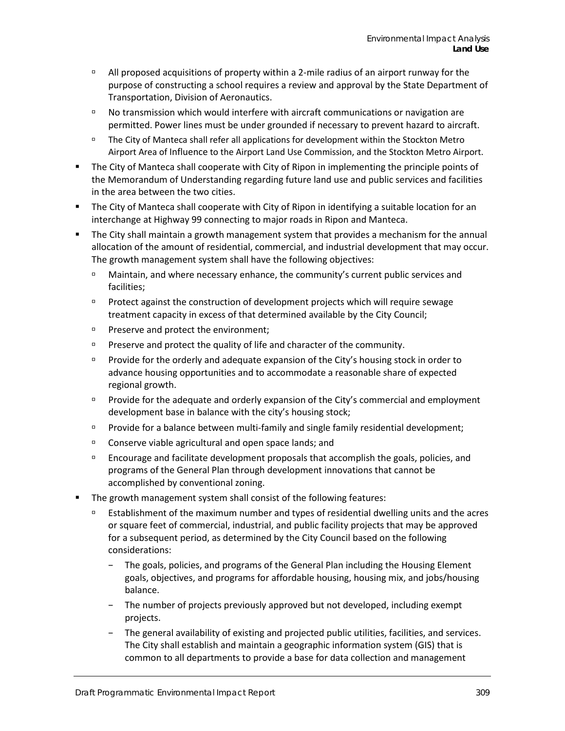- $\Box$  All proposed acquisitions of property within a 2-mile radius of an airport runway for the purpose of constructing a school requires a review and approval by the State Department of Transportation, Division of Aeronautics.
- No transmission which would interfere with aircraft communications or navigation are permitted. Power lines must be under grounded if necessary to prevent hazard to aircraft.
- The City of Manteca shall refer all applications for development within the Stockton Metro Airport Area of Influence to the Airport Land Use Commission, and the Stockton Metro Airport.
- The City of Manteca shall cooperate with City of Ripon in implementing the principle points of the Memorandum of Understanding regarding future land use and public services and facilities in the area between the two cities.
- The City of Manteca shall cooperate with City of Ripon in identifying a suitable location for an interchange at Highway 99 connecting to major roads in Ripon and Manteca.
- The City shall maintain a growth management system that provides a mechanism for the annual allocation of the amount of residential, commercial, and industrial development that may occur. The growth management system shall have the following objectives:
	- Maintain, and where necessary enhance, the community's current public services and facilities;
	- $P$  Protect against the construction of development projects which will require sewage treatment capacity in excess of that determined available by the City Council;
	- **Preserve and protect the environment;**
	- **Preserve and protect the quality of life and character of the community.**
	- **Provide for the orderly and adequate expansion of the City's housing stock in order to** advance housing opportunities and to accommodate a reasonable share of expected regional growth.
	- **Provide for the adequate and orderly expansion of the City's commercial and employment** development base in balance with the city's housing stock;
	- Provide for a balance between multi-family and single family residential development;
	- Conserve viable agricultural and open space lands; and
	- $P$  Encourage and facilitate development proposals that accomplish the goals, policies, and programs of the General Plan through development innovations that cannot be accomplished by conventional zoning.
- The growth management system shall consist of the following features:
	- Establishment of the maximum number and types of residential dwelling units and the acres or square feet of commercial, industrial, and public facility projects that may be approved for a subsequent period, as determined by the City Council based on the following considerations:
		- The goals, policies, and programs of the General Plan including the Housing Element goals, objectives, and programs for affordable housing, housing mix, and jobs/housing balance.
		- The number of projects previously approved but not developed, including exempt projects.
		- The general availability of existing and projected public utilities, facilities, and services. The City shall establish and maintain a geographic information system (GIS) that is common to all departments to provide a base for data collection and management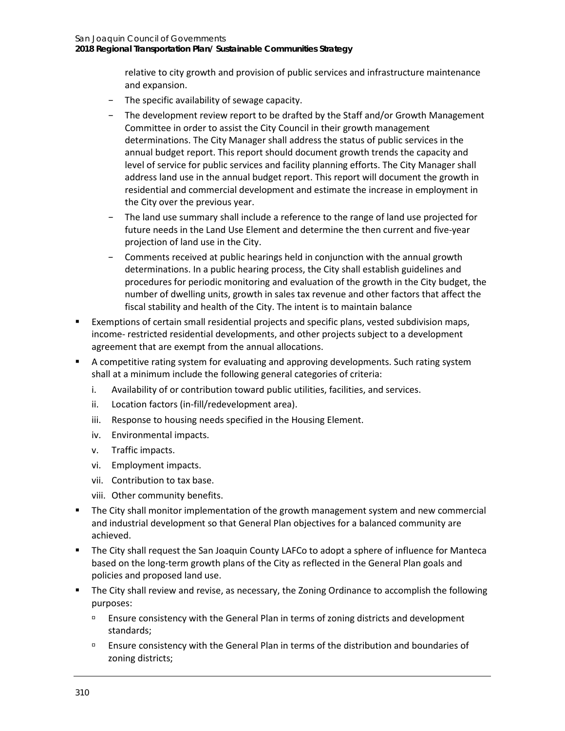relative to city growth and provision of public services and infrastructure maintenance and expansion.

- − The specific availability of sewage capacity.
- The development review report to be drafted by the Staff and/or Growth Management Committee in order to assist the City Council in their growth management determinations. The City Manager shall address the status of public services in the annual budget report. This report should document growth trends the capacity and level of service for public services and facility planning efforts. The City Manager shall address land use in the annual budget report. This report will document the growth in residential and commercial development and estimate the increase in employment in the City over the previous year.
- The land use summary shall include a reference to the range of land use projected for future needs in the Land Use Element and determine the then current and five-year projection of land use in the City.
- − Comments received at public hearings held in conjunction with the annual growth determinations. In a public hearing process, the City shall establish guidelines and procedures for periodic monitoring and evaluation of the growth in the City budget, the number of dwelling units, growth in sales tax revenue and other factors that affect the fiscal stability and health of the City. The intent is to maintain balance
- Exemptions of certain small residential projects and specific plans, vested subdivision maps, income- restricted residential developments, and other projects subject to a development agreement that are exempt from the annual allocations.
- A competitive rating system for evaluating and approving developments. Such rating system shall at a minimum include the following general categories of criteria:
	- i. Availability of or contribution toward public utilities, facilities, and services.
	- ii. Location factors (in-fill/redevelopment area).
	- iii. Response to housing needs specified in the Housing Element.
	- iv. Environmental impacts.
	- v. Traffic impacts.
	- vi. Employment impacts.
	- vii. Contribution to tax base.
	- viii. Other community benefits.
- The City shall monitor implementation of the growth management system and new commercial and industrial development so that General Plan objectives for a balanced community are achieved.
- The City shall request the San Joaquin County LAFCo to adopt a sphere of influence for Manteca based on the long-term growth plans of the City as reflected in the General Plan goals and policies and proposed land use.
- The City shall review and revise, as necessary, the Zoning Ordinance to accomplish the following purposes:
	- **Ensure consistency with the General Plan in terms of zoning districts and development** standards;
	- **Ensure consistency with the General Plan in terms of the distribution and boundaries of** zoning districts;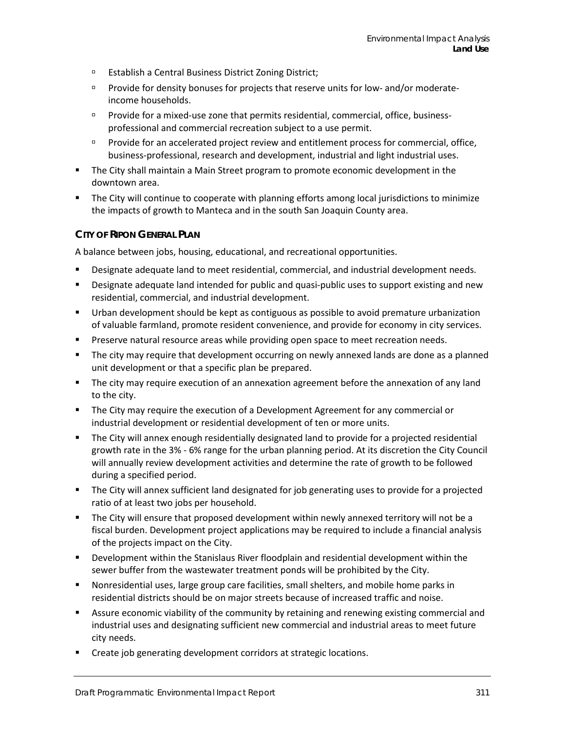- **Establish a Central Business District Zoning District;**
- Provide for density bonuses for projects that reserve units for low- and/or moderateincome households.
- Provide for a mixed-use zone that permits residential, commercial, office, businessprofessional and commercial recreation subject to a use permit.
- **Provide for an accelerated project review and entitlement process for commercial, office,** business-professional, research and development, industrial and light industrial uses.
- The City shall maintain a Main Street program to promote economic development in the downtown area.
- The City will continue to cooperate with planning efforts among local jurisdictions to minimize the impacts of growth to Manteca and in the south San Joaquin County area.

#### **CITY OF RIPON GENERAL PLAN**

A balance between jobs, housing, educational, and recreational opportunities.

- **Designate adequate land to meet residential, commercial, and industrial development needs.**
- **Designate adequate land intended for public and quasi-public uses to support existing and new** residential, commercial, and industrial development.
- Urban development should be kept as contiguous as possible to avoid premature urbanization of valuable farmland, promote resident convenience, and provide for economy in city services.
- **Preserve natural resource areas while providing open space to meet recreation needs.**
- **The city may require that development occurring on newly annexed lands are done as a planned** unit development or that a specific plan be prepared.
- The city may require execution of an annexation agreement before the annexation of any land to the city.
- **The City may require the execution of a Development Agreement for any commercial or** industrial development or residential development of ten or more units.
- The City will annex enough residentially designated land to provide for a projected residential growth rate in the 3% - 6% range for the urban planning period. At its discretion the City Council will annually review development activities and determine the rate of growth to be followed during a specified period.
- **The City will annex sufficient land designated for job generating uses to provide for a projected** ratio of at least two jobs per household.
- The City will ensure that proposed development within newly annexed territory will not be a fiscal burden. Development project applications may be required to include a financial analysis of the projects impact on the City.
- Development within the Stanislaus River floodplain and residential development within the sewer buffer from the wastewater treatment ponds will be prohibited by the City.
- Nonresidential uses, large group care facilities, small shelters, and mobile home parks in residential districts should be on major streets because of increased traffic and noise.
- **EXECT** Assure economic viability of the community by retaining and renewing existing commercial and industrial uses and designating sufficient new commercial and industrial areas to meet future city needs.
- **EXECT** Create job generating development corridors at strategic locations.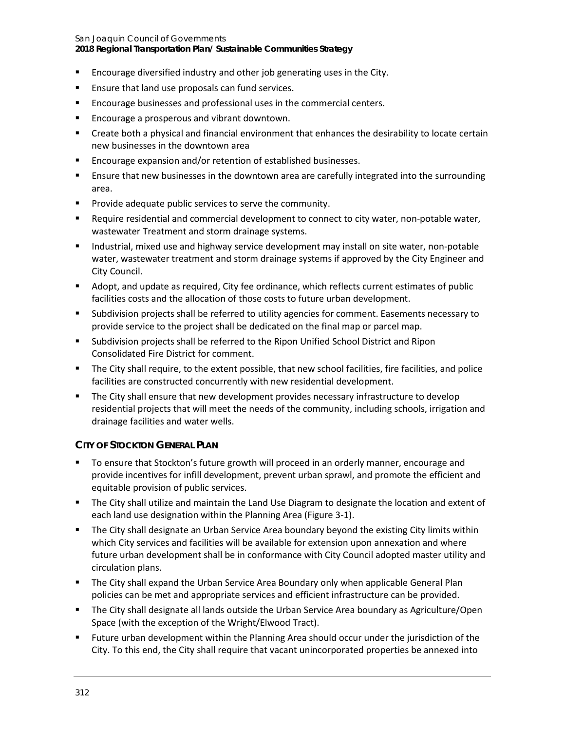**2018 Regional Transportation Plan/ Sustainable Communities Strategy**

- Encourage diversified industry and other job generating uses in the City.
- **Ensure that land use proposals can fund services.**
- **Encourage businesses and professional uses in the commercial centers.**
- **Encourage a prosperous and vibrant downtown.**
- Create both a physical and financial environment that enhances the desirability to locate certain new businesses in the downtown area
- **Encourage expansion and/or retention of established businesses.**
- **E** Ensure that new businesses in the downtown area are carefully integrated into the surrounding area.
- **Provide adequate public services to serve the community.**
- Require residential and commercial development to connect to city water, non-potable water, wastewater Treatment and storm drainage systems.
- **Industrial, mixed use and highway service development may install on site water, non-potable** water, wastewater treatment and storm drainage systems if approved by the City Engineer and City Council.
- Adopt, and update as required, City fee ordinance, which reflects current estimates of public facilities costs and the allocation of those costs to future urban development.
- Subdivision projects shall be referred to utility agencies for comment. Easements necessary to provide service to the project shall be dedicated on the final map or parcel map.
- Subdivision projects shall be referred to the Ripon Unified School District and Ripon Consolidated Fire District for comment.
- The City shall require, to the extent possible, that new school facilities, fire facilities, and police facilities are constructed concurrently with new residential development.
- **The City shall ensure that new development provides necessary infrastructure to develop** residential projects that will meet the needs of the community, including schools, irrigation and drainage facilities and water wells.

### **CITY OF STOCKTON GENERAL PLAN**

- To ensure that Stockton's future growth will proceed in an orderly manner, encourage and provide incentives for infill development, prevent urban sprawl, and promote the efficient and equitable provision of public services.
- **The City shall utilize and maintain the Land Use Diagram to designate the location and extent of** each land use designation within the Planning Area (Figure 3-1).
- **The City shall designate an Urban Service Area boundary beyond the existing City limits within** which City services and facilities will be available for extension upon annexation and where future urban development shall be in conformance with City Council adopted master utility and circulation plans.
- **The City shall expand the Urban Service Area Boundary only when applicable General Plan** policies can be met and appropriate services and efficient infrastructure can be provided.
- The City shall designate all lands outside the Urban Service Area boundary as Agriculture/Open Space (with the exception of the Wright/Elwood Tract).
- Future urban development within the Planning Area should occur under the jurisdiction of the City. To this end, the City shall require that vacant unincorporated properties be annexed into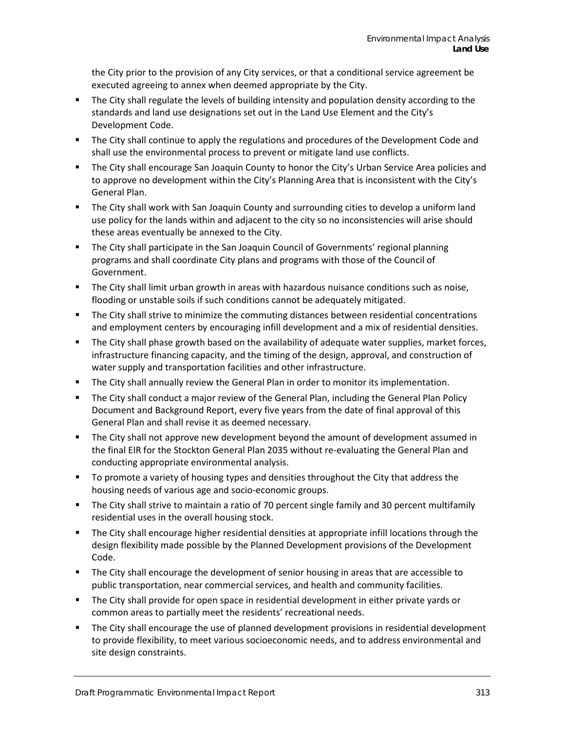the City prior to the provision of any City services, or that a conditional service agreement be executed agreeing to annex when deemed appropriate by the City.

- The City shall regulate the levels of building intensity and population density according to the standards and land use designations set out in the Land Use Element and the City's Development Code.
- **The City shall continue to apply the regulations and procedures of the Development Code and** shall use the environmental process to prevent or mitigate land use conflicts.
- The City shall encourage San Joaquin County to honor the City's Urban Service Area policies and to approve no development within the City's Planning Area that is inconsistent with the City's General Plan.
- **The City shall work with San Joaquin County and surrounding cities to develop a uniform land** use policy for the lands within and adjacent to the city so no inconsistencies will arise should these areas eventually be annexed to the City.
- **The City shall participate in the San Joaquin Council of Governments' regional planning** programs and shall coordinate City plans and programs with those of the Council of Government.
- The City shall limit urban growth in areas with hazardous nuisance conditions such as noise, flooding or unstable soils if such conditions cannot be adequately mitigated.
- The City shall strive to minimize the commuting distances between residential concentrations and employment centers by encouraging infill development and a mix of residential densities.
- The City shall phase growth based on the availability of adequate water supplies, market forces, infrastructure financing capacity, and the timing of the design, approval, and construction of water supply and transportation facilities and other infrastructure.
- The City shall annually review the General Plan in order to monitor its implementation.
- The City shall conduct a major review of the General Plan, including the General Plan Policy Document and Background Report, every five years from the date of final approval of this General Plan and shall revise it as deemed necessary.
- The City shall not approve new development beyond the amount of development assumed in the final EIR for the Stockton General Plan 2035 without re-evaluating the General Plan and conducting appropriate environmental analysis.
- To promote a variety of housing types and densities throughout the City that address the housing needs of various age and socio-economic groups.
- The City shall strive to maintain a ratio of 70 percent single family and 30 percent multifamily residential uses in the overall housing stock.
- **The City shall encourage higher residential densities at appropriate infill locations through the** design flexibility made possible by the Planned Development provisions of the Development Code.
- The City shall encourage the development of senior housing in areas that are accessible to public transportation, near commercial services, and health and community facilities.
- The City shall provide for open space in residential development in either private yards or common areas to partially meet the residents' recreational needs.
- The City shall encourage the use of planned development provisions in residential development to provide flexibility, to meet various socioeconomic needs, and to address environmental and site design constraints.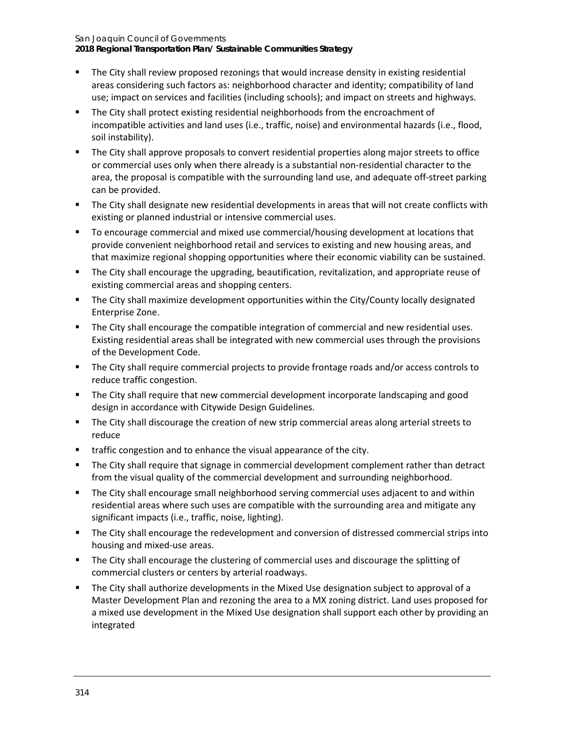San Joaquin Council of Governments **2018 Regional Transportation Plan/ Sustainable Communities Strategy**

- **The City shall review proposed rezonings that would increase density in existing residential** areas considering such factors as: neighborhood character and identity; compatibility of land use; impact on services and facilities (including schools); and impact on streets and highways.
- The City shall protect existing residential neighborhoods from the encroachment of incompatible activities and land uses (i.e., traffic, noise) and environmental hazards (i.e., flood, soil instability).
- **The City shall approve proposals to convert residential properties along major streets to office** or commercial uses only when there already is a substantial non-residential character to the area, the proposal is compatible with the surrounding land use, and adequate off-street parking can be provided.
- **The City shall designate new residential developments in areas that will not create conflicts with** existing or planned industrial or intensive commercial uses.
- **The EXT and The Commercial and mixed use commercial/housing development at locations that** provide convenient neighborhood retail and services to existing and new housing areas, and that maximize regional shopping opportunities where their economic viability can be sustained.
- **The City shall encourage the upgrading, beautification, revitalization, and appropriate reuse of** existing commercial areas and shopping centers.
- The City shall maximize development opportunities within the City/County locally designated Enterprise Zone.
- The City shall encourage the compatible integration of commercial and new residential uses. Existing residential areas shall be integrated with new commercial uses through the provisions of the Development Code.
- The City shall require commercial projects to provide frontage roads and/or access controls to reduce traffic congestion.
- **The City shall require that new commercial development incorporate landscaping and good** design in accordance with Citywide Design Guidelines.
- The City shall discourage the creation of new strip commercial areas along arterial streets to reduce
- traffic congestion and to enhance the visual appearance of the city.
- The City shall require that signage in commercial development complement rather than detract from the visual quality of the commercial development and surrounding neighborhood.
- The City shall encourage small neighborhood serving commercial uses adjacent to and within residential areas where such uses are compatible with the surrounding area and mitigate any significant impacts (i.e., traffic, noise, lighting).
- The City shall encourage the redevelopment and conversion of distressed commercial strips into housing and mixed-use areas.
- The City shall encourage the clustering of commercial uses and discourage the splitting of commercial clusters or centers by arterial roadways.
- The City shall authorize developments in the Mixed Use designation subject to approval of a Master Development Plan and rezoning the area to a MX zoning district. Land uses proposed for a mixed use development in the Mixed Use designation shall support each other by providing an integrated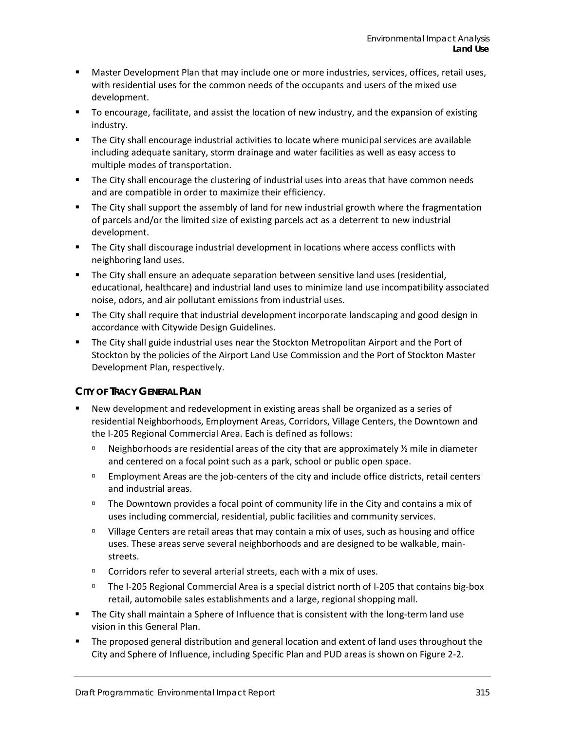- Master Development Plan that may include one or more industries, services, offices, retail uses, with residential uses for the common needs of the occupants and users of the mixed use development.
- To encourage, facilitate, and assist the location of new industry, and the expansion of existing industry.
- The City shall encourage industrial activities to locate where municipal services are available including adequate sanitary, storm drainage and water facilities as well as easy access to multiple modes of transportation.
- **The City shall encourage the clustering of industrial uses into areas that have common needs** and are compatible in order to maximize their efficiency.
- The City shall support the assembly of land for new industrial growth where the fragmentation of parcels and/or the limited size of existing parcels act as a deterrent to new industrial development.
- **The City shall discourage industrial development in locations where access conflicts with** neighboring land uses.
- **The City shall ensure an adequate separation between sensitive land uses (residential,** educational, healthcare) and industrial land uses to minimize land use incompatibility associated noise, odors, and air pollutant emissions from industrial uses.
- **The City shall require that industrial development incorporate landscaping and good design in** accordance with Citywide Design Guidelines.
- The City shall guide industrial uses near the Stockton Metropolitan Airport and the Port of Stockton by the policies of the Airport Land Use Commission and the Port of Stockton Master Development Plan, respectively.

### **CITY OF TRACY GENERAL PLAN**

- New development and redevelopment in existing areas shall be organized as a series of residential Neighborhoods, Employment Areas, Corridors, Village Centers, the Downtown and the I-205 Regional Commercial Area. Each is defined as follows:
	- Neighborhoods are residential areas of the city that are approximately  $\frac{1}{2}$  mile in diameter and centered on a focal point such as a park, school or public open space.
	- Employment Areas are the job-centers of the city and include office districts, retail centers and industrial areas.
	- $\Box$  The Downtown provides a focal point of community life in the City and contains a mix of uses including commercial, residential, public facilities and community services.
	- Village Centers are retail areas that may contain a mix of uses, such as housing and office uses. These areas serve several neighborhoods and are designed to be walkable, mainstreets.
	- □ Corridors refer to several arterial streets, each with a mix of uses.
	- The I-205 Regional Commercial Area is a special district north of I-205 that contains big-box retail, automobile sales establishments and a large, regional shopping mall.
- The City shall maintain a Sphere of Influence that is consistent with the long-term land use vision in this General Plan.
- The proposed general distribution and general location and extent of land uses throughout the City and Sphere of Influence, including Specific Plan and PUD areas is shown on Figure 2-2.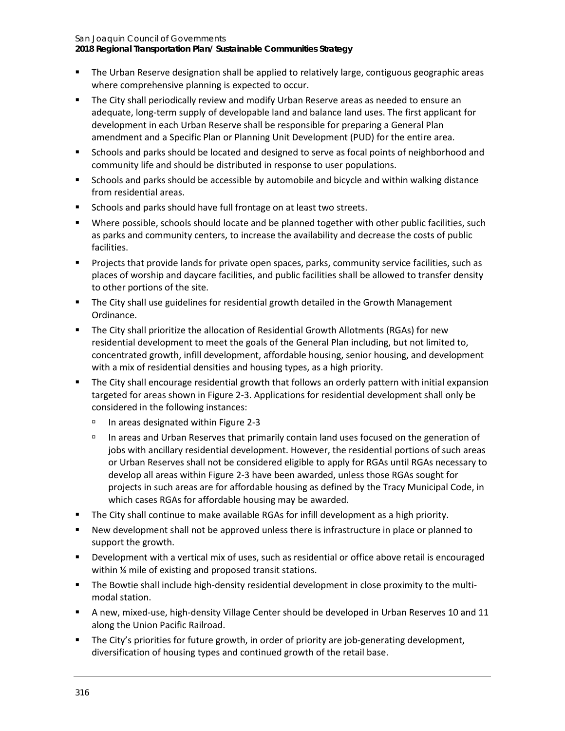**2018 Regional Transportation Plan/ Sustainable Communities Strategy**

- The Urban Reserve designation shall be applied to relatively large, contiguous geographic areas where comprehensive planning is expected to occur.
- The City shall periodically review and modify Urban Reserve areas as needed to ensure an adequate, long-term supply of developable land and balance land uses. The first applicant for development in each Urban Reserve shall be responsible for preparing a General Plan amendment and a Specific Plan or Planning Unit Development (PUD) for the entire area.
- **Schools and parks should be located and designed to serve as focal points of neighborhood and** community life and should be distributed in response to user populations.
- Schools and parks should be accessible by automobile and bicycle and within walking distance from residential areas.
- Schools and parks should have full frontage on at least two streets.
- Where possible, schools should locate and be planned together with other public facilities, such as parks and community centers, to increase the availability and decrease the costs of public facilities.
- Projects that provide lands for private open spaces, parks, community service facilities, such as places of worship and daycare facilities, and public facilities shall be allowed to transfer density to other portions of the site.
- **The City shall use guidelines for residential growth detailed in the Growth Management** Ordinance.
- The City shall prioritize the allocation of Residential Growth Allotments (RGAs) for new residential development to meet the goals of the General Plan including, but not limited to, concentrated growth, infill development, affordable housing, senior housing, and development with a mix of residential densities and housing types, as a high priority.
- The City shall encourage residential growth that follows an orderly pattern with initial expansion targeted for areas shown in Figure 2-3. Applications for residential development shall only be considered in the following instances:
	- $\textdegree$  In areas designated within Figure 2-3
	- In areas and Urban Reserves that primarily contain land uses focused on the generation of jobs with ancillary residential development. However, the residential portions of such areas or Urban Reserves shall not be considered eligible to apply for RGAs until RGAs necessary to develop all areas within Figure 2-3 have been awarded, unless those RGAs sought for projects in such areas are for affordable housing as defined by the Tracy Municipal Code, in which cases RGAs for affordable housing may be awarded.
- The City shall continue to make available RGAs for infill development as a high priority.
- New development shall not be approved unless there is infrastructure in place or planned to support the growth.
- Development with a vertical mix of uses, such as residential or office above retail is encouraged within % mile of existing and proposed transit stations.
- The Bowtie shall include high-density residential development in close proximity to the multimodal station.
- A new, mixed-use, high-density Village Center should be developed in Urban Reserves 10 and 11 along the Union Pacific Railroad.
- The City's priorities for future growth, in order of priority are job-generating development, diversification of housing types and continued growth of the retail base.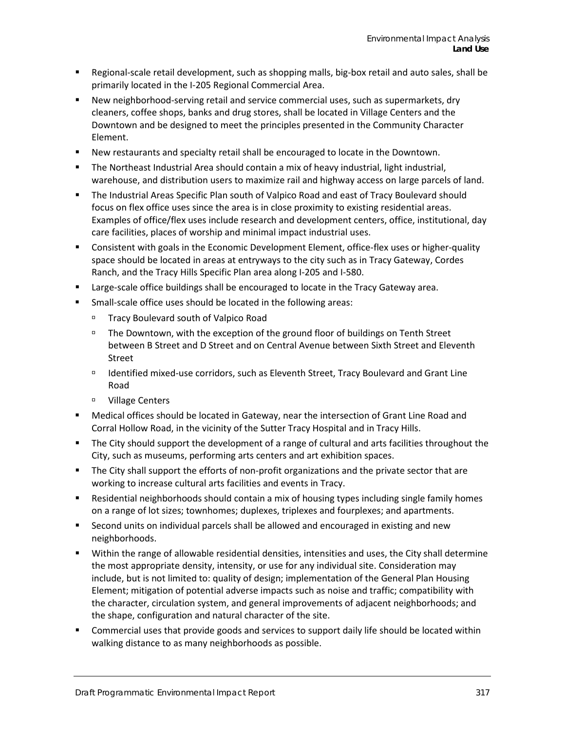- Regional-scale retail development, such as shopping malls, big-box retail and auto sales, shall be primarily located in the I-205 Regional Commercial Area.
- New neighborhood-serving retail and service commercial uses, such as supermarkets, dry cleaners, coffee shops, banks and drug stores, shall be located in Village Centers and the Downtown and be designed to meet the principles presented in the Community Character Element.
- New restaurants and specialty retail shall be encouraged to locate in the Downtown.
- The Northeast Industrial Area should contain a mix of heavy industrial, light industrial, warehouse, and distribution users to maximize rail and highway access on large parcels of land.
- The Industrial Areas Specific Plan south of Valpico Road and east of Tracy Boulevard should focus on flex office uses since the area is in close proximity to existing residential areas. Examples of office/flex uses include research and development centers, office, institutional, day care facilities, places of worship and minimal impact industrial uses.
- **Consistent with goals in the Economic Development Element, office-flex uses or higher-quality** space should be located in areas at entryways to the city such as in Tracy Gateway, Cordes Ranch, and the Tracy Hills Specific Plan area along I-205 and I-580.
- Large-scale office buildings shall be encouraged to locate in the Tracy Gateway area.
- Small-scale office uses should be located in the following areas:
	- Tracy Boulevard south of Valpico Road
	- The Downtown, with the exception of the ground floor of buildings on Tenth Street between B Street and D Street and on Central Avenue between Sixth Street and Eleventh Street
	- Identified mixed-use corridors, such as Eleventh Street, Tracy Boulevard and Grant Line Road
	- Village Centers
- Medical offices should be located in Gateway, near the intersection of Grant Line Road and Corral Hollow Road, in the vicinity of the Sutter Tracy Hospital and in Tracy Hills.
- The City should support the development of a range of cultural and arts facilities throughout the City, such as museums, performing arts centers and art exhibition spaces.
- The City shall support the efforts of non-profit organizations and the private sector that are working to increase cultural arts facilities and events in Tracy.
- Residential neighborhoods should contain a mix of housing types including single family homes on a range of lot sizes; townhomes; duplexes, triplexes and fourplexes; and apartments.
- Second units on individual parcels shall be allowed and encouraged in existing and new neighborhoods.
- Within the range of allowable residential densities, intensities and uses, the City shall determine the most appropriate density, intensity, or use for any individual site. Consideration may include, but is not limited to: quality of design; implementation of the General Plan Housing Element; mitigation of potential adverse impacts such as noise and traffic; compatibility with the character, circulation system, and general improvements of adjacent neighborhoods; and the shape, configuration and natural character of the site.
- **Commercial uses that provide goods and services to support daily life should be located within** walking distance to as many neighborhoods as possible.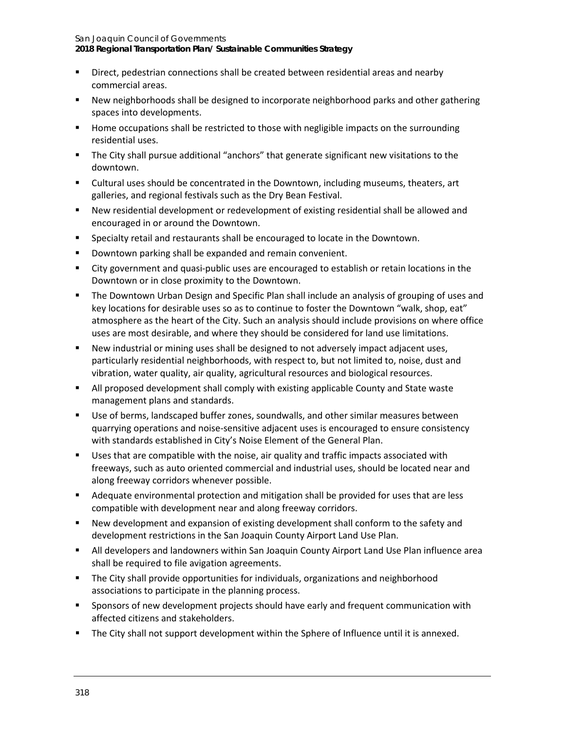**2018 Regional Transportation Plan/ Sustainable Communities Strategy**

- Direct, pedestrian connections shall be created between residential areas and nearby commercial areas.
- New neighborhoods shall be designed to incorporate neighborhood parks and other gathering spaces into developments.
- Home occupations shall be restricted to those with negligible impacts on the surrounding residential uses.
- The City shall pursue additional "anchors" that generate significant new visitations to the downtown.
- Cultural uses should be concentrated in the Downtown, including museums, theaters, art galleries, and regional festivals such as the Dry Bean Festival.
- New residential development or redevelopment of existing residential shall be allowed and encouraged in or around the Downtown.
- **Specialty retail and restaurants shall be encouraged to locate in the Downtown.**
- **Downtown parking shall be expanded and remain convenient.**
- City government and quasi-public uses are encouraged to establish or retain locations in the Downtown or in close proximity to the Downtown.
- The Downtown Urban Design and Specific Plan shall include an analysis of grouping of uses and key locations for desirable uses so as to continue to foster the Downtown "walk, shop, eat" atmosphere as the heart of the City. Such an analysis should include provisions on where office uses are most desirable, and where they should be considered for land use limitations.
- New industrial or mining uses shall be designed to not adversely impact adjacent uses, particularly residential neighborhoods, with respect to, but not limited to, noise, dust and vibration, water quality, air quality, agricultural resources and biological resources.
- **All proposed development shall comply with existing applicable County and State waste** management plans and standards.
- Use of berms, landscaped buffer zones, soundwalls, and other similar measures between quarrying operations and noise-sensitive adjacent uses is encouraged to ensure consistency with standards established in City's Noise Element of the General Plan.
- **Uses that are compatible with the noise, air quality and traffic impacts associated with** freeways, such as auto oriented commercial and industrial uses, should be located near and along freeway corridors whenever possible.
- Adequate environmental protection and mitigation shall be provided for uses that are less compatible with development near and along freeway corridors.
- New development and expansion of existing development shall conform to the safety and development restrictions in the San Joaquin County Airport Land Use Plan.
- All developers and landowners within San Joaquin County Airport Land Use Plan influence area shall be required to file avigation agreements.
- **The City shall provide opportunities for individuals, organizations and neighborhood** associations to participate in the planning process.
- Sponsors of new development projects should have early and frequent communication with affected citizens and stakeholders.
- **The City shall not support development within the Sphere of Influence until it is annexed.**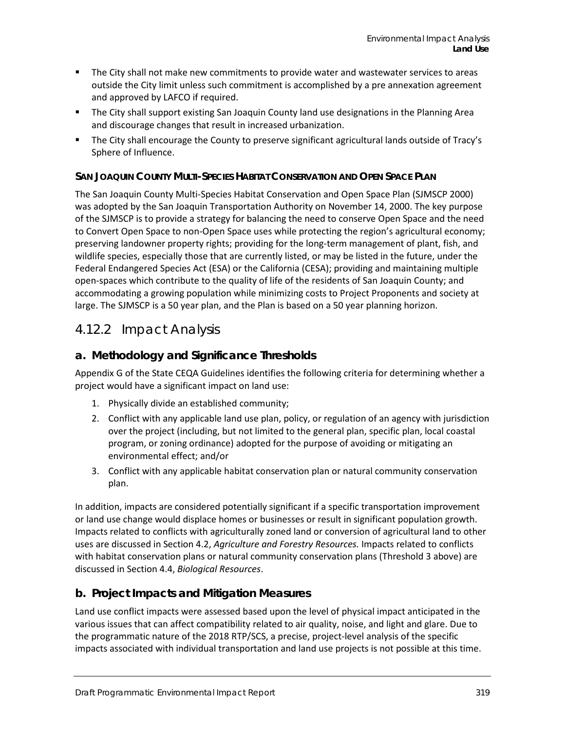- **The City shall not make new commitments to provide water and wastewater services to areas** outside the City limit unless such commitment is accomplished by a pre annexation agreement and approved by LAFCO if required.
- The City shall support existing San Joaquin County land use designations in the Planning Area and discourage changes that result in increased urbanization.
- The City shall encourage the County to preserve significant agricultural lands outside of Tracy's Sphere of Influence.

### **SAN JOAQUIN COUNTY MULTI-SPECIES HABITAT CONSERVATION AND OPEN SPACE PLAN**

The San Joaquin County Multi-Species Habitat Conservation and Open Space Plan (SJMSCP 2000) was adopted by the San Joaquin Transportation Authority on November 14, 2000. The key purpose of the SJMSCP is to provide a strategy for balancing the need to conserve Open Space and the need to Convert Open Space to non-Open Space uses while protecting the region's agricultural economy; preserving landowner property rights; providing for the long-term management of plant, fish, and wildlife species, especially those that are currently listed, or may be listed in the future, under the Federal Endangered Species Act (ESA) or the California (CESA); providing and maintaining multiple open-spaces which contribute to the quality of life of the residents of San Joaquin County; and accommodating a growing population while minimizing costs to Project Proponents and society at large. The SJMSCP is a 50 year plan, and the Plan is based on a 50 year planning horizon.

## 4.12.2 Impact Analysis

## **a. Methodology and Significance Thresholds**

Appendix G of the State CEQA Guidelines identifies the following criteria for determining whether a project would have a significant impact on land use:

- 1. Physically divide an established community;
- 2. Conflict with any applicable land use plan, policy, or regulation of an agency with jurisdiction over the project (including, but not limited to the general plan, specific plan, local coastal program, or zoning ordinance) adopted for the purpose of avoiding or mitigating an environmental effect; and/or
- 3. Conflict with any applicable habitat conservation plan or natural community conservation plan.

In addition, impacts are considered potentially significant if a specific transportation improvement or land use change would displace homes or businesses or result in significant population growth. Impacts related to conflicts with agriculturally zoned land or conversion of agricultural land to other uses are discussed in Section 4.2, *Agriculture and Forestry Resources.* Impacts related to conflicts with habitat conservation plans or natural community conservation plans (Threshold 3 above) are discussed in Section 4.4, *Biological Resources*.

### **b. Project Impacts and Mitigation Measures**

Land use conflict impacts were assessed based upon the level of physical impact anticipated in the various issues that can affect compatibility related to air quality, noise, and light and glare. Due to the programmatic nature of the 2018 RTP/SCS, a precise, project-level analysis of the specific impacts associated with individual transportation and land use projects is not possible at this time.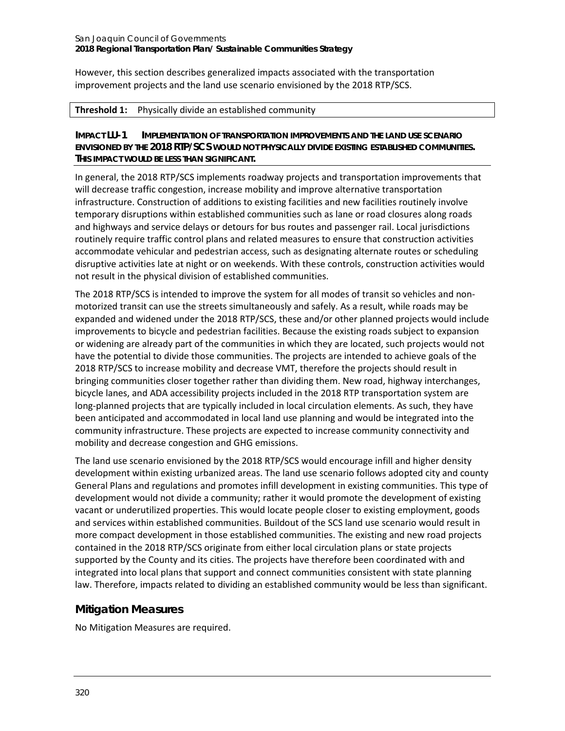However, this section describes generalized impacts associated with the transportation improvement projects and the land use scenario envisioned by the 2018 RTP/SCS.

#### **Threshold 1:** Physically divide an established community

**IMPACT LU-1 IMPLEMENTATION OF TRANSPORTATION IMPROVEMENTS AND THE LAND USE SCENARIO ENVISIONED BY THE 2018 RTP/SCS WOULD NOT PHYSICALLY DIVIDE EXISTING ESTABLISHED COMMUNITIES. THIS IMPACT WOULD BE LESS THAN SIGNIFICANT.**

In general, the 2018 RTP/SCS implements roadway projects and transportation improvements that will decrease traffic congestion, increase mobility and improve alternative transportation infrastructure. Construction of additions to existing facilities and new facilities routinely involve temporary disruptions within established communities such as lane or road closures along roads and highways and service delays or detours for bus routes and passenger rail. Local jurisdictions routinely require traffic control plans and related measures to ensure that construction activities accommodate vehicular and pedestrian access, such as designating alternate routes or scheduling disruptive activities late at night or on weekends. With these controls, construction activities would not result in the physical division of established communities.

The 2018 RTP/SCS is intended to improve the system for all modes of transit so vehicles and nonmotorized transit can use the streets simultaneously and safely. As a result, while roads may be expanded and widened under the 2018 RTP/SCS, these and/or other planned projects would include improvements to bicycle and pedestrian facilities. Because the existing roads subject to expansion or widening are already part of the communities in which they are located, such projects would not have the potential to divide those communities. The projects are intended to achieve goals of the 2018 RTP/SCS to increase mobility and decrease VMT, therefore the projects should result in bringing communities closer together rather than dividing them. New road, highway interchanges, bicycle lanes, and ADA accessibility projects included in the 2018 RTP transportation system are long-planned projects that are typically included in local circulation elements. As such, they have been anticipated and accommodated in local land use planning and would be integrated into the community infrastructure. These projects are expected to increase community connectivity and mobility and decrease congestion and GHG emissions.

The land use scenario envisioned by the 2018 RTP/SCS would encourage infill and higher density development within existing urbanized areas. The land use scenario follows adopted city and county General Plans and regulations and promotes infill development in existing communities. This type of development would not divide a community; rather it would promote the development of existing vacant or underutilized properties. This would locate people closer to existing employment, goods and services within established communities. Buildout of the SCS land use scenario would result in more compact development in those established communities. The existing and new road projects contained in the 2018 RTP/SCS originate from either local circulation plans or state projects supported by the County and its cities. The projects have therefore been coordinated with and integrated into local plans that support and connect communities consistent with state planning law. Therefore, impacts related to dividing an established community would be less than significant.

### **Mitigation Measures**

No Mitigation Measures are required.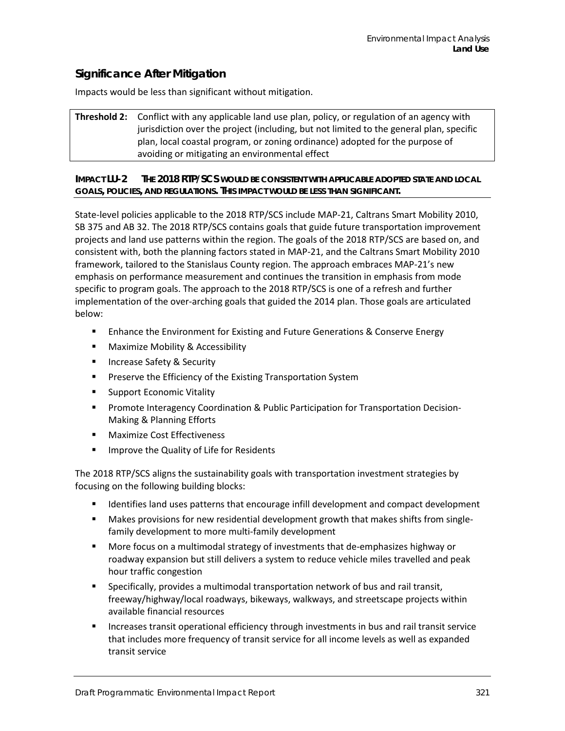### **Significance After Mitigation**

Impacts would be less than significant without mitigation.

**Threshold 2:** Conflict with any applicable land use plan, policy, or regulation of an agency with jurisdiction over the project (including, but not limited to the general plan, specific plan, local coastal program, or zoning ordinance) adopted for the purpose of avoiding or mitigating an environmental effect

#### **IMPACT LU-2 THE 2018 RTP/SCS WOULD BE CONSISTENT WITH APPLICABLE ADOPTED STATE AND LOCAL GOALS, POLICIES, AND REGULATIONS. THIS IMPACT WOULD BE LESS THAN SIGNIFICANT.**

State-level policies applicable to the 2018 RTP/SCS include MAP-21, Caltrans Smart Mobility 2010, SB 375 and AB 32. The 2018 RTP/SCS contains goals that guide future transportation improvement projects and land use patterns within the region. The goals of the 2018 RTP/SCS are based on, and consistent with, both the planning factors stated in MAP-21, and the Caltrans Smart Mobility 2010 framework, tailored to the Stanislaus County region. The approach embraces MAP-21's new emphasis on performance measurement and continues the transition in emphasis from mode specific to program goals. The approach to the 2018 RTP/SCS is one of a refresh and further implementation of the over-arching goals that guided the 2014 plan. Those goals are articulated below:

- **Enhance the Environment for Existing and Future Generations & Conserve Energy**
- **Maximize Mobility & Accessibility**
- **Increase Safety & Security**
- **Preserve the Efficiency of the Existing Transportation System**
- Support Economic Vitality
- **Promote Interagency Coordination & Public Participation for Transportation Decision-**Making & Planning Efforts
- **Naximize Cost Effectiveness**
- **IMPROVE the Quality of Life for Residents**

The 2018 RTP/SCS aligns the sustainability goals with transportation investment strategies by focusing on the following building blocks:

- **IDENTIFIER 19 IDENTIFIELD USES** 1 Identifies land uses patterns that encourage infill development and compact development
- Makes provisions for new residential development growth that makes shifts from singlefamily development to more multi-family development
- More focus on a multimodal strategy of investments that de-emphasizes highway or roadway expansion but still delivers a system to reduce vehicle miles travelled and peak hour traffic congestion
- Specifically, provides a multimodal transportation network of bus and rail transit, freeway/highway/local roadways, bikeways, walkways, and streetscape projects within available financial resources
- Increases transit operational efficiency through investments in bus and rail transit service that includes more frequency of transit service for all income levels as well as expanded transit service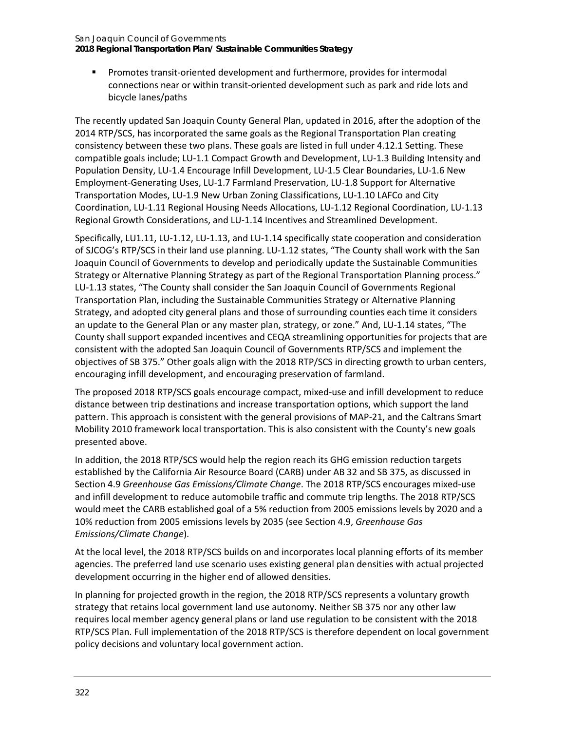**2018 Regional Transportation Plan/ Sustainable Communities Strategy**

 Promotes transit-oriented development and furthermore, provides for intermodal connections near or within transit-oriented development such as park and ride lots and bicycle lanes/paths

The recently updated San Joaquin County General Plan, updated in 2016, after the adoption of the 2014 RTP/SCS, has incorporated the same goals as the Regional Transportation Plan creating consistency between these two plans. These goals are listed in full under 4.12.1 Setting. These compatible goals include; LU-1.1 Compact Growth and Development, LU-1.3 Building Intensity and Population Density, LU-1.4 Encourage Infill Development, LU-1.5 Clear Boundaries, LU-1.6 New Employment-Generating Uses, LU-1.7 Farmland Preservation, LU-1.8 Support for Alternative Transportation Modes, LU-1.9 New Urban Zoning Classifications, LU-1.10 LAFCo and City Coordination, LU-1.11 Regional Housing Needs Allocations, LU-1.12 Regional Coordination, LU-1.13 Regional Growth Considerations, and LU-1.14 Incentives and Streamlined Development.

Specifically, LU1.11, LU-1.12, LU-1.13, and LU-1.14 specifically state cooperation and consideration of SJCOG's RTP/SCS in their land use planning. LU-1.12 states, "The County shall work with the San Joaquin Council of Governments to develop and periodically update the Sustainable Communities Strategy or Alternative Planning Strategy as part of the Regional Transportation Planning process." LU-1.13 states, "The County shall consider the San Joaquin Council of Governments Regional Transportation Plan, including the Sustainable Communities Strategy or Alternative Planning Strategy, and adopted city general plans and those of surrounding counties each time it considers an update to the General Plan or any master plan, strategy, or zone." And, LU-1.14 states, "The County shall support expanded incentives and CEQA streamlining opportunities for projects that are consistent with the adopted San Joaquin Council of Governments RTP/SCS and implement the objectives of SB 375." Other goals align with the 2018 RTP/SCS in directing growth to urban centers, encouraging infill development, and encouraging preservation of farmland.

The proposed 2018 RTP/SCS goals encourage compact, mixed-use and infill development to reduce distance between trip destinations and increase transportation options, which support the land pattern. This approach is consistent with the general provisions of MAP-21, and the Caltrans Smart Mobility 2010 framework local transportation. This is also consistent with the County's new goals presented above.

In addition, the 2018 RTP/SCS would help the region reach its GHG emission reduction targets established by the California Air Resource Board (CARB) under AB 32 and SB 375, as discussed in Section 4.9 *Greenhouse Gas Emissions/Climate Change*. The 2018 RTP/SCS encourages mixed-use and infill development to reduce automobile traffic and commute trip lengths. The 2018 RTP/SCS would meet the CARB established goal of a 5% reduction from 2005 emissions levels by 2020 and a 10% reduction from 2005 emissions levels by 2035 (see Section 4.9, *Greenhouse Gas Emissions/Climate Change*).

At the local level, the 2018 RTP/SCS builds on and incorporates local planning efforts of its member agencies. The preferred land use scenario uses existing general plan densities with actual projected development occurring in the higher end of allowed densities.

In planning for projected growth in the region, the 2018 RTP/SCS represents a voluntary growth strategy that retains local government land use autonomy. Neither SB 375 nor any other law requires local member agency general plans or land use regulation to be consistent with the 2018 RTP/SCS Plan. Full implementation of the 2018 RTP/SCS is therefore dependent on local government policy decisions and voluntary local government action.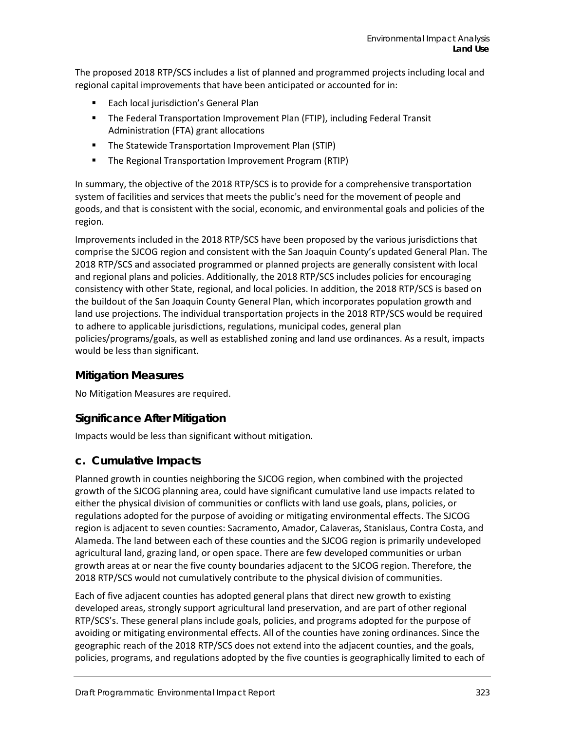The proposed 2018 RTP/SCS includes a list of planned and programmed projects including local and regional capital improvements that have been anticipated or accounted for in:

- **Each local jurisdiction's General Plan**
- The Federal Transportation Improvement Plan (FTIP), including Federal Transit Administration (FTA) grant allocations
- **The Statewide Transportation Improvement Plan (STIP)**
- The Regional Transportation Improvement Program (RTIP)

In summary, the objective of the 2018 RTP/SCS is to provide for a comprehensive transportation system of facilities and services that meets the public's need for the movement of people and goods, and that is consistent with the social, economic, and environmental goals and policies of the region.

Improvements included in the 2018 RTP/SCS have been proposed by the various jurisdictions that comprise the SJCOG region and consistent with the San Joaquin County's updated General Plan. The 2018 RTP/SCS and associated programmed or planned projects are generally consistent with local and regional plans and policies. Additionally, the 2018 RTP/SCS includes policies for encouraging consistency with other State, regional, and local policies. In addition, the 2018 RTP/SCS is based on the buildout of the San Joaquin County General Plan, which incorporates population growth and land use projections. The individual transportation projects in the 2018 RTP/SCS would be required to adhere to applicable jurisdictions, regulations, municipal codes, general plan policies/programs/goals, as well as established zoning and land use ordinances. As a result, impacts would be less than significant.

### **Mitigation Measures**

No Mitigation Measures are required.

## **Significance After Mitigation**

Impacts would be less than significant without mitigation.

### **c. Cumulative Impacts**

Planned growth in counties neighboring the SJCOG region, when combined with the projected growth of the SJCOG planning area, could have significant cumulative land use impacts related to either the physical division of communities or conflicts with land use goals, plans, policies, or regulations adopted for the purpose of avoiding or mitigating environmental effects. The SJCOG region is adjacent to seven counties: Sacramento, Amador, Calaveras, Stanislaus, Contra Costa, and Alameda. The land between each of these counties and the SJCOG region is primarily undeveloped agricultural land, grazing land, or open space. There are few developed communities or urban growth areas at or near the five county boundaries adjacent to the SJCOG region. Therefore, the 2018 RTP/SCS would not cumulatively contribute to the physical division of communities.

Each of five adjacent counties has adopted general plans that direct new growth to existing developed areas, strongly support agricultural land preservation, and are part of other regional RTP/SCS's. These general plans include goals, policies, and programs adopted for the purpose of avoiding or mitigating environmental effects. All of the counties have zoning ordinances. Since the geographic reach of the 2018 RTP/SCS does not extend into the adjacent counties, and the goals, policies, programs, and regulations adopted by the five counties is geographically limited to each of